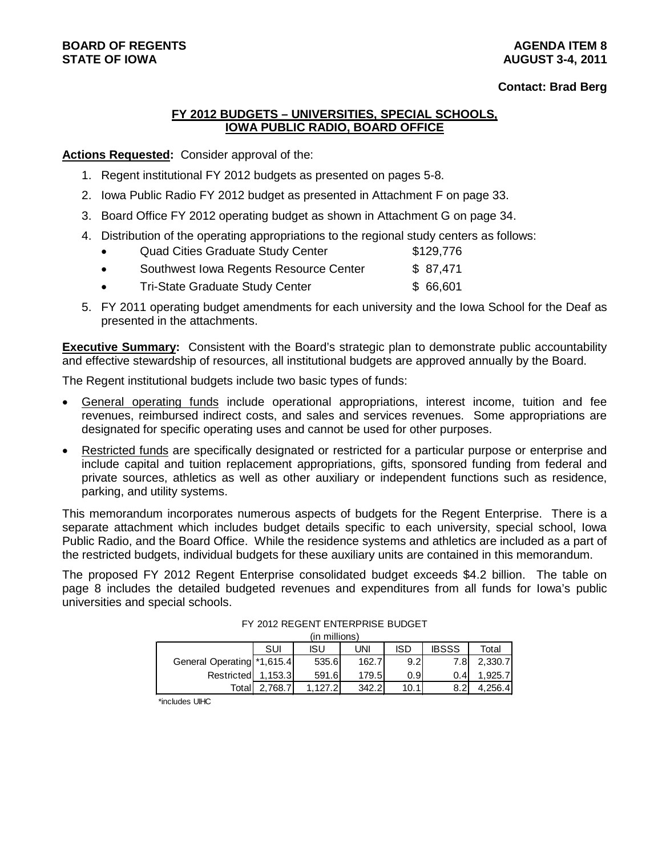### **BOARD OF REGENTS AGENDA ITEM 8**

#### **Contact: Brad Berg**

#### **FY 2012 BUDGETS – UNIVERSITIES, SPECIAL SCHOOLS, IOWA PUBLIC RADIO, BOARD OFFICE**

**Actions Requested:** Consider approval of the:

- 1. Regent institutional FY 2012 budgets as presented on pages 5-8.
- 2. Iowa Public Radio FY 2012 budget as presented in Attachment F on page 33.
- 3. Board Office FY 2012 operating budget as shown in Attachment G on page 34.
- 4. Distribution of the operating appropriations to the regional study centers as follows:

| $\bullet$ | <b>Quad Cities Graduate Study Center</b> | \$129,776 |
|-----------|------------------------------------------|-----------|
| $\bullet$ | Southwest Iowa Regents Resource Center   | \$ 87,471 |
| $\bullet$ | <b>Tri-State Graduate Study Center</b>   | \$66,601  |

5. FY 2011 operating budget amendments for each university and the Iowa School for the Deaf as presented in the attachments.

**Executive Summary:** Consistent with the Board's strategic plan to demonstrate public accountability and effective stewardship of resources, all institutional budgets are approved annually by the Board.

The Regent institutional budgets include two basic types of funds:

- General operating funds include operational appropriations, interest income, tuition and fee revenues, reimbursed indirect costs, and sales and services revenues. Some appropriations are designated for specific operating uses and cannot be used for other purposes.
- Restricted funds are specifically designated or restricted for a particular purpose or enterprise and include capital and tuition replacement appropriations, gifts, sponsored funding from federal and private sources, athletics as well as other auxiliary or independent functions such as residence, parking, and utility systems.

This memorandum incorporates numerous aspects of budgets for the Regent Enterprise. There is a separate attachment which includes budget details specific to each university, special school, Iowa Public Radio, and the Board Office. While the residence systems and athletics are included as a part of the restricted budgets, individual budgets for these auxiliary units are contained in this memorandum.

The proposed FY 2012 Regent Enterprise consolidated budget exceeds \$4.2 billion. The table on page 8 includes the detailed budgeted revenues and expenditures from all funds for Iowa's public universities and special schools.

|                           |         | (in millions) |       |                  |              |         |
|---------------------------|---------|---------------|-------|------------------|--------------|---------|
|                           | SUI     | ISU           | UNI   | <b>ISD</b>       | <b>IBSSS</b> | Total   |
| General Operating 1,615.4 |         | 535.6         | 162.7 | 9.2 <sub>l</sub> | 7.81         | 2,330.7 |
| Restricted                | 1.153.3 | 591.6         | 179.5 | 0.91             | 0.41         | 1.925.7 |
| Total                     | 2.768.7 | 1.127.2       | 342.2 | 10.1             | 8.2          | 4,256.4 |

FY 2012 REGENT ENTERPRISE BUDGET

\*includes UIHC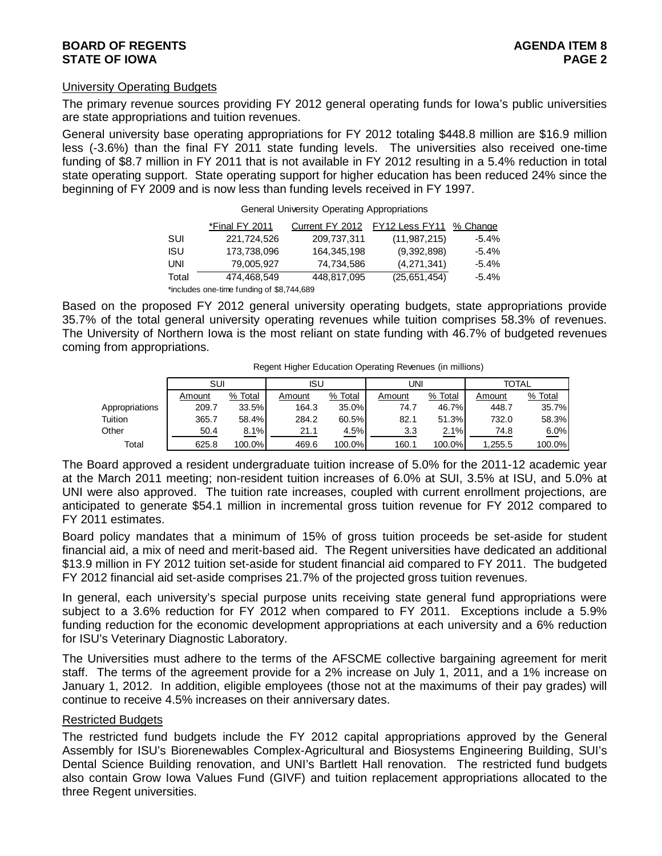#### University Operating Budgets

The primary revenue sources providing FY 2012 general operating funds for Iowa's public universities are state appropriations and tuition revenues.

General university base operating appropriations for FY 2012 totaling \$448.8 million are \$16.9 million less (-3.6%) than the final FY 2011 state funding levels. The universities also received one-time funding of \$8.7 million in FY 2011 that is not available in FY 2012 resulting in a 5.4% reduction in total state operating support. State operating support for higher education has been reduced 24% since the beginning of FY 2009 and is now less than funding levels received in FY 1997.

|            | *Final FY 2011                            | Current FY 2012 | FY12 Less FY11 % Change |          |
|------------|-------------------------------------------|-----------------|-------------------------|----------|
| SUI        | 221,724,526                               | 209,737,311     | (11, 987, 215)          | $-5.4\%$ |
| <b>ISU</b> | 173,738,096                               | 164,345,198     | (9,392,898)             | $-5.4\%$ |
| UNI        | 79.005.927                                | 74.734.586      | (4,271,341)             | $-5.4\%$ |
| Total      | 474.468.549                               | 448.817.095     | (25,651,454)            | $-5.4\%$ |
|            | *includes one-time funding of \$8,744,689 |                 |                         |          |

General University Operating Appropriations

Based on the proposed FY 2012 general university operating budgets, state appropriations provide 35.7% of the total general university operating revenues while tuition comprises 58.3% of revenues. The University of Northern Iowa is the most reliant on state funding with 46.7% of budgeted revenues coming from appropriations.

|                | SUI    |         | ISU    |         | uni    |         | <b>TOTAL</b> |           |
|----------------|--------|---------|--------|---------|--------|---------|--------------|-----------|
|                | Amount | % Total | Amount | % Total | Amount | % Total | Amount       | % Total   |
| Appropriations | 209.7  | 33.5%   | 164.3  | 35.0%   | 74.7   | 46.7%   | 448.7        | 35.7%     |
| Tuition        | 365.7  | 58.4%   | 284.2  | 60.5%   | 82.1   | 51.3%   | 732.0        | 58.3%     |
| Other          | 50.4   | 8.1%    | 21.1   | 4.5%    | 3.3    | 2.1%    | 74.8         | 6.0%      |
| Total          | 625.8  | 100.0%  | 469.6  | 100.0%  | 160.1  | 100.0%  | 1.255.5      | $100.0\%$ |

Regent Higher Education Operating Revenues (in millions)

The Board approved a resident undergraduate tuition increase of 5.0% for the 2011-12 academic year at the March 2011 meeting; non-resident tuition increases of 6.0% at SUI, 3.5% at ISU, and 5.0% at UNI were also approved. The tuition rate increases, coupled with current enrollment projections, are anticipated to generate \$54.1 million in incremental gross tuition revenue for FY 2012 compared to FY 2011 estimates.

Board policy mandates that a minimum of 15% of gross tuition proceeds be set-aside for student financial aid, a mix of need and merit-based aid. The Regent universities have dedicated an additional \$13.9 million in FY 2012 tuition set-aside for student financial aid compared to FY 2011. The budgeted FY 2012 financial aid set-aside comprises 21.7% of the projected gross tuition revenues.

In general, each university's special purpose units receiving state general fund appropriations were subject to a 3.6% reduction for FY 2012 when compared to FY 2011. Exceptions include a 5.9% funding reduction for the economic development appropriations at each university and a 6% reduction for ISU's Veterinary Diagnostic Laboratory.

The Universities must adhere to the terms of the AFSCME collective bargaining agreement for merit staff. The terms of the agreement provide for a 2% increase on July 1, 2011, and a 1% increase on January 1, 2012. In addition, eligible employees (those not at the maximums of their pay grades) will continue to receive 4.5% increases on their anniversary dates.

#### Restricted Budgets

The restricted fund budgets include the FY 2012 capital appropriations approved by the General Assembly for ISU's Biorenewables Complex-Agricultural and Biosystems Engineering Building, SUI's Dental Science Building renovation, and UNI's Bartlett Hall renovation. The restricted fund budgets also contain Grow Iowa Values Fund (GIVF) and tuition replacement appropriations allocated to the three Regent universities.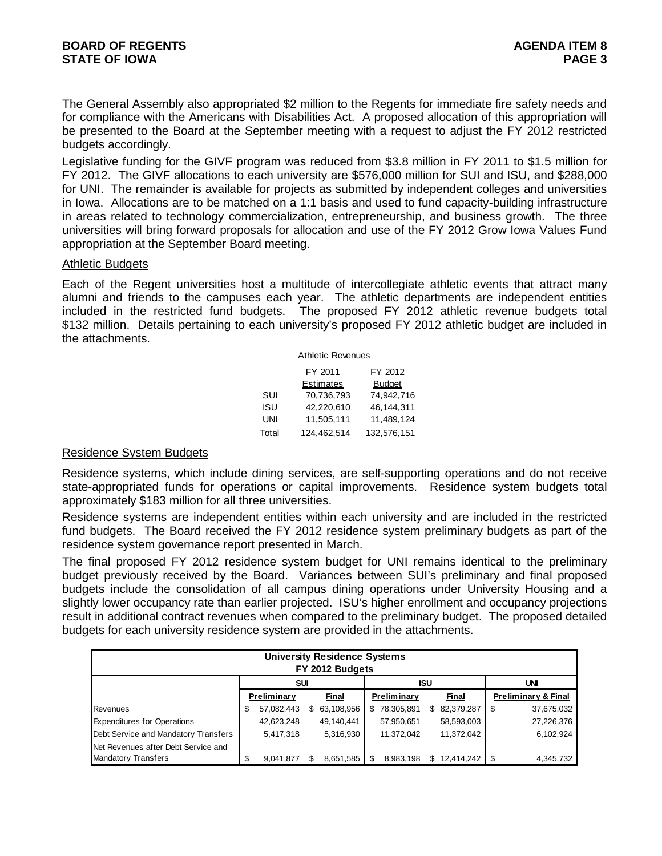The General Assembly also appropriated \$2 million to the Regents for immediate fire safety needs and for compliance with the Americans with Disabilities Act. A proposed allocation of this appropriation will be presented to the Board at the September meeting with a request to adjust the FY 2012 restricted budgets accordingly.

Legislative funding for the GIVF program was reduced from \$3.8 million in FY 2011 to \$1.5 million for FY 2012. The GIVF allocations to each university are \$576,000 million for SUI and ISU, and \$288,000 for UNI. The remainder is available for projects as submitted by independent colleges and universities in Iowa. Allocations are to be matched on a 1:1 basis and used to fund capacity-building infrastructure in areas related to technology commercialization, entrepreneurship, and business growth. The three universities will bring forward proposals for allocation and use of the FY 2012 Grow Iowa Values Fund appropriation at the September Board meeting.

#### Athletic Budgets

Each of the Regent universities host a multitude of intercollegiate athletic events that attract many alumni and friends to the campuses each year. The athletic departments are independent entities included in the restricted fund budgets. The proposed FY 2012 athletic revenue budgets total \$132 million. Details pertaining to each university's proposed FY 2012 athletic budget are included in the attachments.

|       | <b>Athletic Revenues</b> |             |
|-------|--------------------------|-------------|
|       | FY 2011                  | FY 2012     |
|       | <b>Estimates</b>         | Budget      |
| SUI   | 70,736,793               | 74.942.716  |
| ISU   | 42.220.610               | 46.144.311  |
| UNI   | 11,505,111               | 11,489,124  |
| Total | 124,462,514              | 132,576,151 |

#### Residence System Budgets

Residence systems, which include dining services, are self-supporting operations and do not receive state-appropriated funds for operations or capital improvements. Residence system budgets total approximately \$183 million for all three universities.

Residence systems are independent entities within each university and are included in the restricted fund budgets. The Board received the FY 2012 residence system preliminary budgets as part of the residence system governance report presented in March.

The final proposed FY 2012 residence system budget for UNI remains identical to the preliminary budget previously received by the Board. Variances between SUI's preliminary and final proposed budgets include the consolidation of all campus dining operations under University Housing and a slightly lower occupancy rate than earlier projected. ISU's higher enrollment and occupancy projections result in additional contract revenues when compared to the preliminary budget. The proposed detailed budgets for each university residence system are provided in the attachments.

|                                      |                  | <b>University Residence Systems</b><br>FY 2012 Budgets |     |                             |            |            |                                |            |
|--------------------------------------|------------------|--------------------------------------------------------|-----|-----------------------------|------------|------------|--------------------------------|------------|
|                                      | <b>SUI</b>       |                                                        |     |                             | <b>ISU</b> |            |                                | UNI        |
|                                      | Preliminary      | Final                                                  |     | Preliminary<br><b>Final</b> |            |            | <b>Preliminary &amp; Final</b> |            |
| Revenues                             | \$<br>57,082,443 | \$63,108,956                                           | \$. | 78,305,891                  | \$         | 82,379,287 | -\$                            | 37,675,032 |
| <b>Expenditures for Operations</b>   | 42,623,248       | 49,140,441                                             |     | 57,950,651                  |            | 58,593,003 |                                | 27,226,376 |
| Debt Service and Mandatory Transfers | 5,417,318        | 5,316,930                                              |     | 11,372,042                  |            | 11,372,042 |                                | 6,102,924  |
| Net Revenues after Debt Service and  |                  |                                                        |     |                             |            |            |                                |            |
| <b>Mandatory Transfers</b>           | \$<br>9.041.877  | 8,651,585                                              |     | 8,983,198                   | S.         | 12.414.242 |                                | 4.345.732  |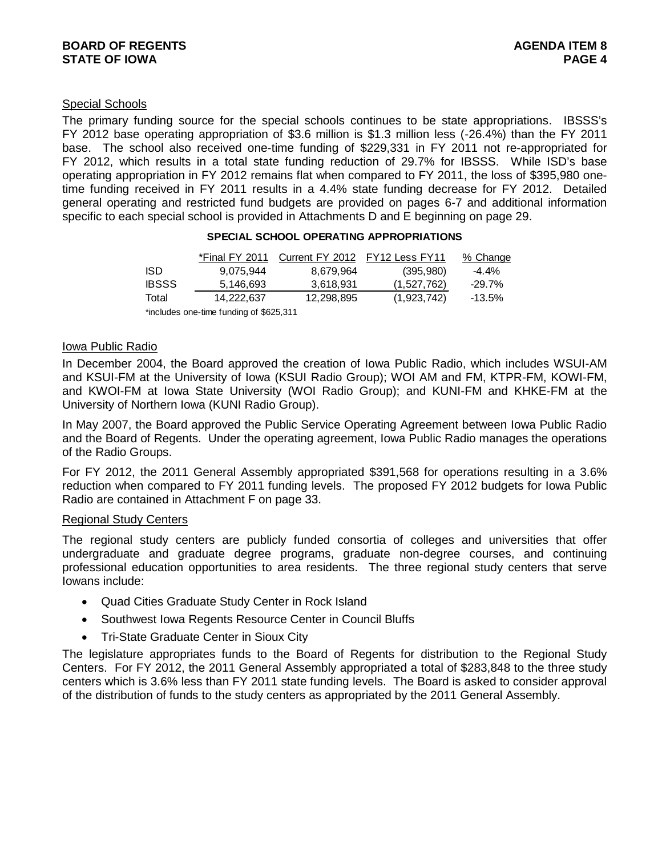#### Special Schools

The primary funding source for the special schools continues to be state appropriations. IBSSS's FY 2012 base operating appropriation of \$3.6 million is \$1.3 million less (-26.4%) than the FY 2011 base. The school also received one-time funding of \$229,331 in FY 2011 not re-appropriated for FY 2012, which results in a total state funding reduction of 29.7% for IBSSS. While ISD's base operating appropriation in FY 2012 remains flat when compared to FY 2011, the loss of \$395,980 onetime funding received in FY 2011 results in a 4.4% state funding decrease for FY 2012. Detailed general operating and restricted fund budgets are provided on pages 6-7 and additional information specific to each special school is provided in Attachments D and E beginning on page 29.

| *Final FY 2011 | Current FY 2012 | FY12 Less FY11 | % Change  |
|----------------|-----------------|----------------|-----------|
| 9,075,944      | 8,679,964       | (395, 980)     | $-4.4\%$  |
| 5,146,693      | 3.618.931       | (1,527,762)    | $-29.7\%$ |
| 14,222,637     | 12,298,895      | (1,923,742)    | -13.5%    |
|                |                 |                |           |

#### **SPECIAL SCHOOL OPERATING APPROPRIATIONS**

\*includes one-time funding of \$625,311

#### Iowa Public Radio

In December 2004, the Board approved the creation of Iowa Public Radio, which includes WSUI-AM and KSUI-FM at the University of Iowa (KSUI Radio Group); WOI AM and FM, KTPR-FM, KOWI-FM, and KWOI-FM at Iowa State University (WOI Radio Group); and KUNI-FM and KHKE-FM at the University of Northern Iowa (KUNI Radio Group).

In May 2007, the Board approved the Public Service Operating Agreement between Iowa Public Radio and the Board of Regents. Under the operating agreement, Iowa Public Radio manages the operations of the Radio Groups.

For FY 2012, the 2011 General Assembly appropriated \$391,568 for operations resulting in a 3.6% reduction when compared to FY 2011 funding levels. The proposed FY 2012 budgets for Iowa Public Radio are contained in Attachment F on page 33.

#### Regional Study Centers

The regional study centers are publicly funded consortia of colleges and universities that offer undergraduate and graduate degree programs, graduate non-degree courses, and continuing professional education opportunities to area residents. The three regional study centers that serve Iowans include:

- Quad Cities Graduate Study Center in Rock Island
- Southwest Iowa Regents Resource Center in Council Bluffs
- Tri-State Graduate Center in Sioux City

The legislature appropriates funds to the Board of Regents for distribution to the Regional Study Centers. For FY 2012, the 2011 General Assembly appropriated a total of \$283,848 to the three study centers which is 3.6% less than FY 2011 state funding levels. The Board is asked to consider approval of the distribution of funds to the study centers as appropriated by the 2011 General Assembly.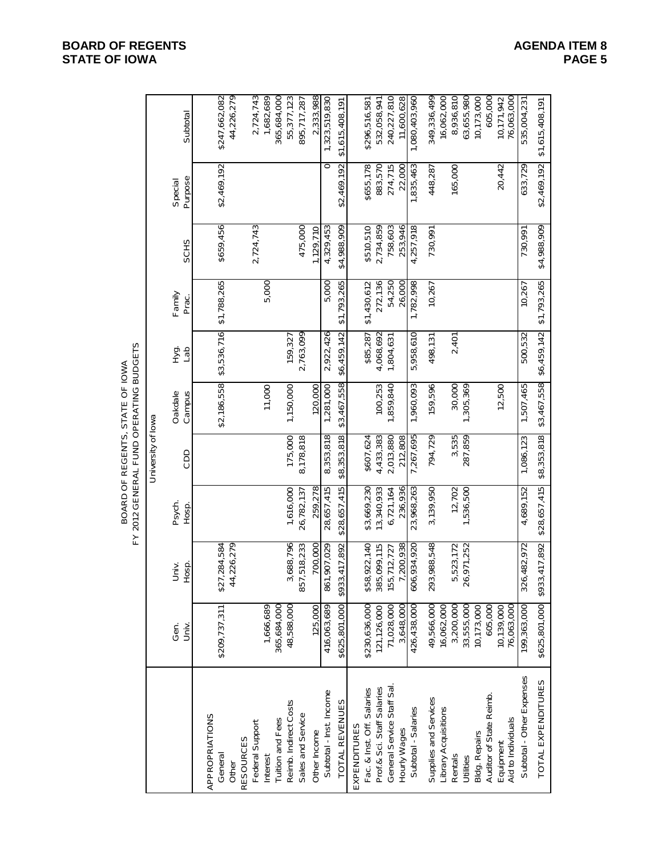## BOARD OF REGENTS, STATE OF IOWA<br>FY 2012 GENERAL FUND OPERATING BUDGETS FY 2012 GENERAL FUND OPERATING BUDGETSBOARD OF REGENTS, STATE OF IOWA

|                                     |               |                             |                 | University of lowa |                                     |             |                 |             |                    |                             |
|-------------------------------------|---------------|-----------------------------|-----------------|--------------------|-------------------------------------|-------------|-----------------|-------------|--------------------|-----------------------------|
|                                     | Gen.<br>Univ. | Univ.<br>Hosp.              | Psych.<br>Hosp. | CDD                | Campus<br>Oakdale                   | нуа.<br>Сан | Family<br>Prac. | <b>SCHS</b> | Purpose<br>Special | Subtotal                    |
| APPROPRIATIONS<br>General           | \$209,737,311 | 284,584<br>\$27,            |                 |                    | \$2,186,558                         | \$3,536,716 | \$1,788,265     | \$659,456   | \$2,469,192        | \$247,662,082               |
| Other                               |               | 226,279<br>$\overline{4}$   |                 |                    |                                     |             |                 |             |                    | 44,226,279                  |
| Federal Support<br><b>RESOURCES</b> |               |                             |                 |                    |                                     |             |                 | 2,724,743   |                    | 2,724,743                   |
| Interest                            | 1,666,689     |                             |                 |                    | 11,000                              |             | 5,000           |             |                    | 1,682,689                   |
| Tuition and Fees                    | 365,684,000   |                             |                 |                    |                                     |             |                 |             |                    | 365,684,000                 |
| Reimb. Indirect Costs               | 48,588,000    | 3,688,796                   | 1,616,000       | 175,000            | 1,150,000                           | 159,327     |                 |             |                    | 55,377,123                  |
| Sales and Service                   |               | 518,233<br>857,             | 26,782,137      | 8,178,818          |                                     | 2,763,099   |                 | 475,000     |                    | 895,717,287                 |
| Other Income                        | 125,000       | 700,000                     | 259,278         |                    | 120,000                             |             |                 | 1,129,710   |                    | 2,333,988                   |
| Subtotal - Inst. Income             | 416,063,689   | ,907,029<br>861             | 28,657,415      | 8,353,818          | 1,281,000                           | 2,922,426   | 5,000           | 4,329,453   | $\circ$            | 1,323,519,830               |
| TOTAL REVENUES                      | \$625,801,000 | \$933,417,892               | \$28,657,415    | \$8,353,818        | \$3,467,558                         | \$6,459,142 | \$1,793,265     | \$4,988,909 | \$2,469,192        | \$1,615,408,191             |
| EXPENDITURES                        |               |                             |                 |                    |                                     |             |                 |             |                    |                             |
| Fac. & Inst. Off. Salaries          | \$230,636,000 | \$58,922,140                | \$3,669,230     | \$607,624          |                                     | \$85,287    | \$1,430,612     | \$510,510   | \$655,178          | \$296,516,581               |
| Prof.& Sci. Staff Salaries          | 121,126,000   | ,099,115<br>385,            | 13,340,933      | 4,433,383          | 100,253                             | 4,068,692   | 272,136         | 2,734,859   | 883,570            | 532,058,941                 |
| General Service Staff Sal.          | 71,028,000    | 155,712,727                 | 6,721,164       | 2,013,880          | 1,859,840                           | 1,804,631   | 54,250          | 758,603     | 274,715            | 240,227,810                 |
| Hourly Wages                        | 3,648,000     | 200,938                     | 236,936         | 212,808            |                                     |             | 26,000          | 253,946     | 22,000             | 11,600,628                  |
| Subtotal - Salaries                 | 426,438,000   | 606,934,920                 | 23,968,263      | 7,267,695          | 1,960,093                           | 5,958,610   | 1,782,998       | 4,257,918   | 1,835,463          | 1,080,403,960               |
| Supplies and Services               | 49,566,000    | 988,548<br>293,             | 3,139,950       | 794,729            | 159,596                             | 498,131     | 10,267          | 730,991     | 448,287            | 349,336,499                 |
| -ibrary Acquisitions                | 16,062,000    |                             |                 |                    |                                     |             |                 |             |                    | 16,062,000                  |
| Rentals                             | 3,200,000     | 523,172<br>ம்               | 12,702          | 3,535              | 30,000                              | 2,401       |                 |             | 165,000            | 8,936,810                   |
| Utilities                           | 33,555,000    | 26,971,252                  | 1,536,500       | 287,859            | 1,305,369                           |             |                 |             |                    | 63,655,980                  |
| <b>Bldg. Repairs</b>                | 10,173,000    |                             |                 |                    |                                     |             |                 |             |                    | 10,173,000                  |
| Auditor of State Reimb.             | 605,000       |                             |                 |                    |                                     |             |                 |             |                    | 605,000                     |
| Equipment                           | 10,139,000    |                             |                 |                    | 12,500                              |             |                 |             | 20,442             | 10,171,942                  |
| Aid to Individuals                  | 76,063,000    |                             |                 |                    |                                     |             |                 |             |                    | 76,063,000                  |
| Subtotal - Other Expenses           | 199,363,000   | 482,972<br>326,             | 4,689,152       | 1,086,123          | 1,507,465                           | 500,532     | 10,267          | 730,991     | 633,729            | 535,004,231                 |
| TOTAL EXPENDITURES                  |               | \$625,801,000 \$933,417,892 | \$28,657,415    | \$8,353,818        | \$3,467,558 \$6,459,142 \$1,793,265 |             |                 | \$4,988,909 |                    | \$2,469,192 \$1,615,408,191 |

#### **BOARD OF REGENTS AGENDA ITEM 8 STATE OF IOWA PAGE**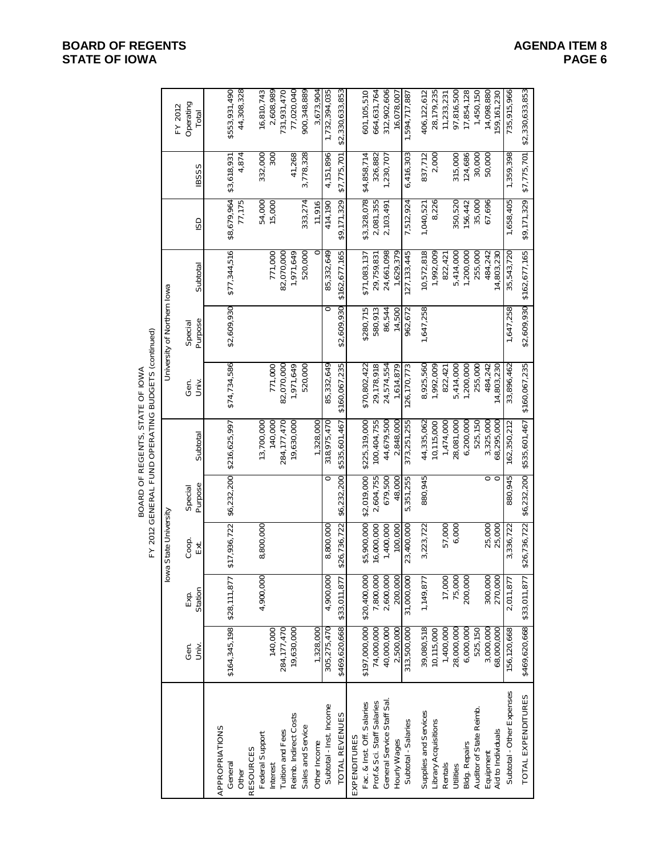# BOARD OF REGENTS, STATE OF IOWA<br>FY 2012 GENERAL FUND OPERATING BUDGETS (continued) FY 2012 GENERAL FUND OPERATING BUDGETS (continued) BOARD OF REGENTS, STATE OF IOWA

|                            |                            |                 | lowa State University |                    |                                         |               | University of Northern lowa |                           |             |                           |                               |
|----------------------------|----------------------------|-----------------|-----------------------|--------------------|-----------------------------------------|---------------|-----------------------------|---------------------------|-------------|---------------------------|-------------------------------|
|                            | Gen.<br>Univ.              | Station<br>Exp. | Coop.<br>Ext          | Purpose<br>Special | Subtotal                                | Gen.<br>Univ  | Purpose<br>Special          | Subtotal                  | GSI         | <b>IBSSS</b>              | Operating<br>FY 2012<br>Total |
| APPROPRIATIONS             |                            |                 |                       |                    |                                         |               |                             |                           |             |                           |                               |
| General                    | \$164,345,198              | \$28,111,877    | \$17,936,722          | \$6,232,200        | \$216,625,997                           | \$74,734,586  | \$2,609,930                 | \$77,344,516              | \$8,679,964 | \$3,618,931               | \$553,931,490                 |
| Other                      |                            |                 |                       |                    |                                         |               |                             |                           | 77,175      | 4,874                     | 44,308,328                    |
| <b>RESOURCES</b>           |                            |                 |                       |                    |                                         |               |                             |                           |             |                           |                               |
| Federal Support            |                            | 4,900,000       | 8,800,000             |                    | 13,700,000                              |               |                             |                           | 54,000      | 332,000                   | 16,810,743                    |
| Interest                   | 140,000                    |                 |                       |                    | 140,000                                 | 771,000       |                             | 771,000                   | 15,000      | $\frac{8}{3}$             | 2,608,989                     |
| Tuition and Fees           | 284, 177, 470              |                 |                       |                    | 284, 177, 470                           | 82,070,000    |                             | 82,070,000                |             |                           | 731,931,470                   |
| Reimb. Indirect Costs      | 19,630,000                 |                 |                       |                    | 19,630,000                              | 1,971,649     |                             | 1,971,649                 |             | 41,268                    | 77,020,040                    |
| Sales and Service          |                            |                 |                       |                    |                                         | 520,000       |                             | 520,000                   | 333,274     | 3,778,328                 | 900,348,889                   |
| Other Income               | 1,328,000                  |                 |                       |                    | 1,328,000                               |               |                             |                           | 11,916      |                           | 3,673,904                     |
| Subtotal - Inst. Income    | 305,275,470                | 4,900,000       | 8,800,000             | $\circ$            | 318,975,470                             | 85,332,649    |                             | 85,332,649                | 414,190     | 4,151,896                 | 1,732,394,035                 |
| TOTAL REVENUES             | \$469,620,668              | \$33,011,877    | \$26,736,722          | \$6,232,200        | \$535,601,467                           | \$160,067,235 | \$2,609,930                 | \$162,677,165             | \$9,171,329 | \$7,775,701               | \$2,330,633,853               |
| EXPENDITURES               |                            |                 |                       |                    |                                         |               |                             |                           |             |                           |                               |
| Fac. & Inst. Off. Salaries | \$197,000,000 \$20,400,000 |                 | \$5,900,000           | \$2,019,000        | \$225,319,000                           | \$70,802,422  | \$280,715                   | \$71,083,137              | \$3,328,078 | \$4,858,714               | 601,105,510                   |
| Prof.& Sci. Staff Salaries | 74,000,000                 | 7,800,000       | 16,000,000            | 2,604,755          | 100,404,755                             | 29,178,918    | 580,913                     | 29,759,831                | 2,081,355   | 326,882                   | 664,631,764                   |
| General Service Staff Sal  | 40,000,000                 | 2,600,000       | 1,400,000             | 679,500            | 44,679,500                              | 24,574,554    | 86,544                      | 24,661,098                | 2,103,491   | 1,230,707                 | 312,902,606                   |
| Hourly Wages               | 2,500,000                  | 200,000         | 100,000               | 48,000             | 2,848,000                               | 1,614,879     | 14,500                      | 1,629,379                 |             |                           | 16,078,007                    |
| Subtotal - Salaries        | 313,500,000                | 31,000,000      | 23,400,000            | 5,351,255          | 373,251,255                             | 126,170,773   | 962,672                     | 127, 133, 445             | 7,512,924   | 6,416,303                 | 1,594,717,887                 |
| Supplies and Services      | 39,080,518                 | 1,149,877       | 3,223,722             | 880,945            | 44,335,062                              | 8,925,560     | 1,647,258                   | 10,572,818                | 1,040,521   | 837,712                   | 406,122,612                   |
| Library Acquisitions       | 10,115,000                 |                 |                       |                    | 10,115,000                              | 1,992,009     |                             | 1,992,009                 | 8,226       | 2,000                     | 28,179,235                    |
| Rentals                    | 1,400,000                  | 17,000          | 57,000                |                    | 1,474,000                               | 822,421       |                             | 822,421                   |             |                           | 11,233,231                    |
| Utilities                  | 28,000,000                 | 75,000          | 6,000                 |                    | 28,081,000                              | 5,414,000     |                             | 5,414,000                 | 350,520     | 315,000                   | 97,816,500                    |
| <b>Bldg. Repairs</b>       | 6,000,000                  | 200,000         |                       |                    | 6,200,000                               | 1,200,000     |                             | 1,200,000                 | 156,442     | 124,686                   | 17,854,128                    |
| Auditor of State Reimb.    | 525,150                    |                 |                       |                    | 525,150                                 | 255,000       |                             | 255,000                   | 35,000      | 30,000                    | 1,450,150                     |
| Equipment                  | 3,000,000                  | 300,000         | 25,000                | 0                  | 3,325,000                               | 484,242       |                             | 484,242                   | 67,696      | 50,000                    | 14,098,880                    |
| Aid to Individuals         | 68,000,000                 | 270,000         | 25,000                | $\circ$            | 68,295,000                              | 14,803,230    |                             | 14,803,230                |             |                           | 159,161,230                   |
| Subtotal - Other Expenses  | 156,120,668                | 2,011,877       | 3,336,722             | 880,945            | 162,350,212                             | 33,896,462    | 1,647,258                   | 35,543,720                | 1,658,405   | 1,359,398                 | 735,915,966                   |
| TOTAL EXPENDITURES         | \$469,620,668 \$33,011,877 |                 | \$26,736,722          |                    | \$6,232,200 \$535,601,467 \$160,067,235 |               |                             | \$2,609,930 \$162,677,165 |             | $$9,171,329$ $$7,775,701$ | \$2,330,633,853               |

### **BOARD OF REGENTS AGENDA ITEM 8 STATE OF IOWA**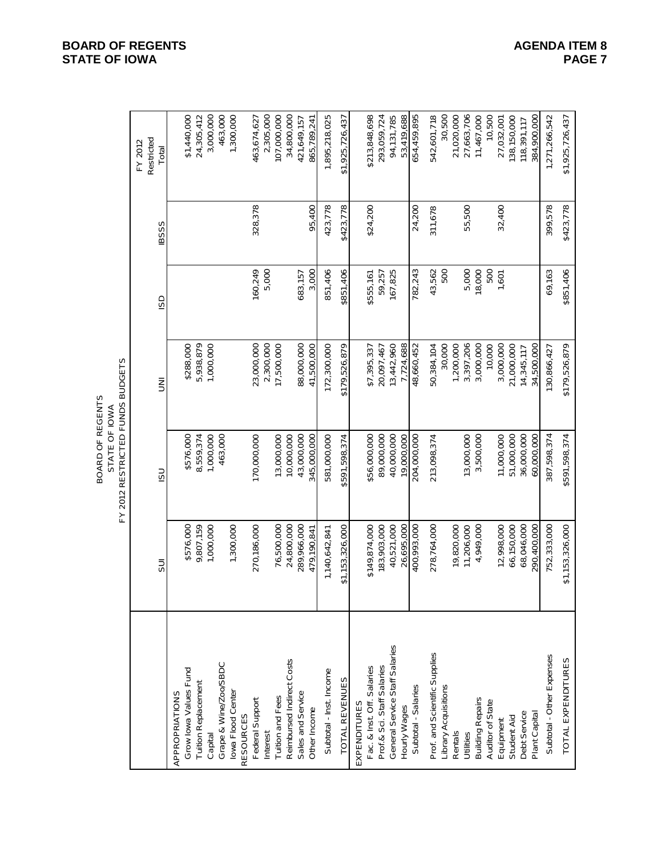|                                       |                          | FY 2012 RESTRICTED FUNDS BUDGETS<br>BOARD OF REGENTS<br>STATE OF IOWA |                          |           |              |                                |
|---------------------------------------|--------------------------|-----------------------------------------------------------------------|--------------------------|-----------|--------------|--------------------------------|
|                                       | 5UI                      | <b>USI</b>                                                            | m<br>S                   | GSI       | <b>IBSSS</b> | Restricted<br>FY 2012<br>Total |
| APPROPRIATIONS                        |                          |                                                                       |                          |           |              |                                |
| Grow lowa Values Fund                 | \$576,000                | \$576,000                                                             | \$288,000                |           |              | \$1,440,000                    |
| Tuition Replacement                   | 9,807,159                | 8,559,374                                                             | 5,938,879                |           |              | 24,305,412                     |
| Capital                               | 1,000,000                | 1,000,000                                                             | 1,000,000                |           |              | 3,000,000                      |
| Grape & Wine/Zoo/SBDC                 |                          | 463,000                                                               |                          |           |              | 463,000                        |
| lowa Flood Center<br><b>RESOURCES</b> | 1,300,000                |                                                                       |                          |           |              | 1,300,000                      |
| Federal Support                       | 270,186,000              | 170,000,000                                                           | 23,000,000               | 160,249   | 328,378      | 463,674,627                    |
| Interest                              |                          |                                                                       | 2,300,000                | 5,000     |              | 2,305,000                      |
| Tuition and Fees                      | 76,500,000               | 13,000,000                                                            | 17,500,000               |           |              | 107,000,000                    |
| Reimbursed Indirect Costs             | 24,800,000               | 10,000,000                                                            |                          |           |              | 34,800,000                     |
| Sales and Service                     | 289,966,000              | 43,000,000                                                            | 88,000,000               | 683,157   |              | 421,649,157                    |
| Other Income                          | 479, 190, 841            | 345,000,000                                                           | 41,500,000               | 3,000     | 95,400       | 865,789,241                    |
| Subtotal - Inst. Income               | 1,140,642,841            | 581,000,000                                                           | 172,300,000              | 851,406   | 423,778      | 1,895,218,025                  |
| TOTAL REVENUES                        | \$1,153,326,000          | \$591,598,374                                                         | \$179,526,879            | \$851,406 | \$423,778    | \$1,925,726,437                |
| EXPENDITURES                          |                          |                                                                       |                          |           |              |                                |
| Fac. & Inst. Off. Salaries            | \$149,874,000            | \$56,000,000                                                          | \$7,395,337              | \$555,161 | \$24,200     | \$213,848,698                  |
| Prof.& Sci. Staff Salaries            | 183,903,000              | 89,000,000                                                            | 20,097,467               | 59,257    |              | 293,059,724                    |
| General Service Staff Salaries        | 40,521,000               | 40,000,000                                                            | 13,442,960               | 167,825   |              | 94,131,785                     |
| Hourly Wages                          | 26,695,000               | 19,000,000                                                            | 7,724,688                |           |              | 53,419,688                     |
| Subtotal - Salaries                   | 000, 266                 | 204,000,000                                                           | 48,660,452               | 782,243   | 24,200       | 654,459,895                    |
| Prof. and Scientific Supplies         | 278,764,000              | 213,098,374                                                           | 50,384,104               | 43,562    | 311,678      | 542,601,718                    |
| Library Acquisitions                  |                          |                                                                       | 30,000                   | 500       |              | 30,500                         |
| Rentals                               | 19,820,000               |                                                                       | 1,200,000                |           |              | 21,020,000                     |
| Utilities                             | 11,206,000               | 13,000,000                                                            | 3,397,206                | 5,000     | 55,500       | 27,663,706                     |
| <b>Building Repairs</b>               | 4,949,000                | 3,500,000                                                             | 3,000,000                | 18,000    |              | 11,467,000                     |
| Auditor of State                      |                          |                                                                       | 10,000                   | 500       |              | 10,500                         |
| Equipment                             | 12,998,000<br>66,150,000 | 51,000,000<br>11,000,000                                              | 3,000,000                | 1,601     | 32,400       | 27,032,001                     |
| Debt Service<br>Student Aid           | 68,046,000               | 36,000,000                                                            | 21,000,000<br>14,345,117 |           |              | 138,150,000<br>118,391,117     |
| Plant Capital                         | 290,400,000              | 60,000,000                                                            | 34,500,000               |           |              | 384,900,000                    |
| Subtotal - Other Expenses             | 752,333,000              | 387,598,374                                                           | 130,866,427              | 69,163    | 399,578      | 1,271,266,542                  |
|                                       |                          |                                                                       |                          |           |              |                                |
| TOTAL EXPENDITURES                    | \$1,153,326,000          | \$591,598,374                                                         | \$179,526,879            | \$851,406 | \$423,778    | \$1,925,726,437                |

#### **BOARD OF REGENTS**<br> **BOARD OF REGENTS**<br> **BOARD OF IOWA**<br>
PAGE 7 **STATE OF IOWA**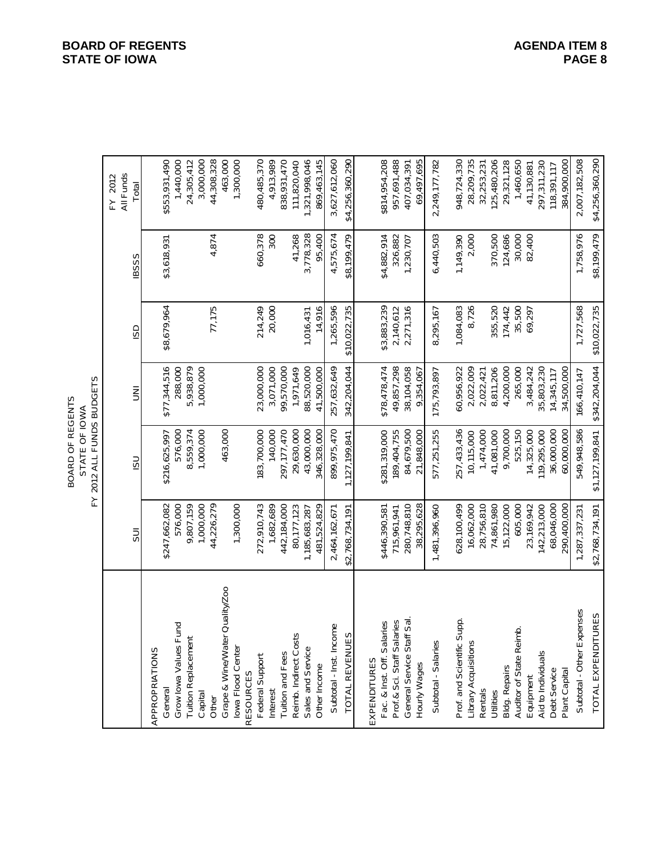| OARD OF REGENTS<br>ന് | STATE OF | FUNDS BUDGETS<br>⋣<br>2012. |
|-----------------------|----------|-----------------------------|
|-----------------------|----------|-----------------------------|

180,485,370 3,627,612,060 948,724,330 2,007,182,508 \$4,256,360,290 General \$35,931,490 \$247,662,082 \$216,625,997 \$277,344,516 \$8,679,964 \$3,618,931 \$553,931,490 Grow Iowa Values Fund 576,000 576,000 288,000 1,440,000 24,305,412 3,000,000 Capital 1,000,000 1,000,000 1,000,000 3,000,000 44,308,328 Other 44,308,328,328,328,328,79 | 44,226,279 | 44,226,279 | 44,308,328 463,000 Grape & Wine/Water Quality/Zoo 463,000 463,000 1,300,000 Iowa Flood Center 1,300,000 1,300,000 PCS(394030 182,700 1847,127 183,700,000,000,000,000,000,000,000 183,700,000 183,700 183,700 183,700 1 Interest 1,000,000 2,000 1,000 1,000 1,000 1,000 1,000 1,000 1,000 1,000 1,000 1,000 1,000 20,000 1,<br>| 1980,000 1,000 1,000 1,000 1,000 1,000 1,000 1,000 1,000 1,000 1,000 1,000 1,000 1,000 1,000 1,000 1,000 1,0 838,931,470 Tuition and Fees 442,184,000 297,177,470 99,570,000 838,931,470 111,820,040 1,321,998,046 Subtotal - Inst. Income 2,464,162,671 899,975,470 257,632,649 1,265,596 4,575,674 3,627,612,060 \$4,256,360,290 TOTAL REVENUES \$2,768,734,191 1,127,199,841 342,204,044 \$10,022,735 \$8,199,479 \$4,256,360,290 \$814,954,208 Fac. & Inst. Off. Salaries \$446,390,581 \$281,319,000 \$78,478,474 \$3,883,239 \$4,882,914 \$814,954,208 Prof.& Sci. Staff Salaries 715,961,941 189,404,755 49,857,298 2,140,612 326,882 957,691,488 69,497,695 Hourly Wages 38,295,628 21,848,000 9,354,067 9,0567 69,549,067 69,497,695 Subtotal - Salaries 1,481,396,960 577,251,255 175,793,897 8,295,167 6,440,503 2,249,177,782 Prof. and Scientific Supp. 628,089 257,433,439 257,433,439 257,433,433,4330 1,085 1,096,400 1,083,090 948,724,390 94 28,209,735 Library Acquisitions 28,726 2,022,022,022,022,000 2,000 2,000 2,000 2,000 2,000 2,000 2,000 2,000 2,000 2,000 2,000 2,000 2,000 2,000 2,000 2,000 2,000 2,000 2,000 2,000 2,000 2,000 2,000 2,000 2,000 2,000 2,000 2,000 2,00 125,480,206 Utilities 77.0,500,200 74,861,980 81,081,000 81,006 81,0206 355,520 355,520 355,520 125,480,206 29,321,128 1,460,650 Auditor of State Reimb. 605,000 605,000 525,150 35,500 35,500 35,500 30,000 3650,650 297,311,230 384,900,000 Plant Capital 290,400,000 60,000,000 34,500,000 384,900,000 Subtotal - Other Expenses 1,287,337,237,237,231 549,948,586 | 166,410,147 | 1,727,568 | 1,758,976 | 2,007,182,508 TOTAL EXPENDITURES \$2,768,734,191 \$1,127,199,841 \$342,204,044 \$10,022,735 \$8,199,479 \$4,256,360,290 \$553,931,490 1,440,000 Tuition Replacement 9,808,8798,8798,8798,938,8798 9,559,7159 24,307 24,305,412 4,913,989 Reimb. Indirect Costs 80,178,199,000,000,000,000,000,000,000,000 10,000 10,000 10,000 10,000 11,000 11,000 11,<br>
Alternatives 11,000 1,000 1,000 1,000 1,000 1,000 1,000 1,000 1,000 1,000 1,000 1,000 1,000 1,000 1,000 1,000 Sales and Service 1,182,683,287 | 1,185,683,287 | 3,000 | 000 | 88,520,000 | 3,778,328 | 3,778,328 | 1,321,998,046 869,463,145 Other Income 481,524,829 346,328,000 41,500,000 14,916 95,400 869,463,145 957,691,488 407,034,391 2,249,177,782 32,253,231 Bldg. Repairs 15,122,174,447 | 174,447 | 170,000,000,000,000,000,000,000,000,000 | 100,000,000,000 | 100,000,00 41,130,881 Aid to Individuals Aid to Individuals 142,213,000 | 35,803,230 | 35,803,230 | 297,311,230 118,391,117 General Service Staff Sal. 280,748,810 84,679,500 38,104,058 2,271,316 1,230,707 407,034,391 Rentals 28,756,810 | 28,756,810 | 20,022,421 | 20,022,421 | 28,3253,231 Equipment 23,169,942 14,325,000 3,484,242 69,297 82,400 41,130,881 Debt Service 68,046,000,000,000,000,000 14,345,117 | 14,345,117 | 14,345,117 | 14,345,117 | 14,345,117 | 14,345,117 | 14,345,117 | 14,345,117 | 14,345,117 | 14,345,117 | 14,345,117 | 14,345,117 | 14,345,117 | 14,345,117 | All Funds FY 2012 FY 2012 All Funds Total SUI ISU UNI ISD IBSSS Total 30,000 4,874 2,000 660,378 41,268 3,778,328 4,575,674 \$8,199,479 \$4,882,914 326,882 6,440,503 1,149,390 370,500 82,400 1,758,976 \$8,199,479 300 95.400 124,686 \$3,618,931 1,230,707 **IBSSS** 77,175 20,000 \$3,883,239 35,500 214,249 14,916 \$10,022,735 \$8,679,964 1,265,596 \$10,022,735 1,084,083 8,726 355,520 174,442 69,297 1,727,568 1,016,431 2,140,612 2,271,316 8,295,167 G 257,632,649 \$342,204,044 \$77,344,516 88,520,000 \$78,478,474 49,857,298 5,938,879 1,000,000 23,000,000 3,071,000 1,971,649 41,500,000 342,204,044 38,104,058 60,956,922 8,811,206 4,200,000 265,000 3,484,242 288,000 99,570,000 175,793,897 2,022,009 2,022,421 35,803,230 14,345,117 34,500,000 166,410,147 9,354,067  $\bar{z}$ 549,948,586 43,000,000 899,975,470 \$281,319,000 189,404,755 36,000,000 \$1,127,199,841 \$216,625,997 576,000 8,559,374 1,000,000 463,000 183,700,000 140,000 297, 177, 470 29,630,000 346,328,000 84,679,500 577,251,255 257,433,436 1,474,000 41,081,000 9,700,000 525,150 14,325,000 19,295,000 60,000,000 21,848,000 127, 199, 841 10,115,000 **USI** 576,000 9,807,159 1,000,000 44,226,279 272,910,743 80,177,123 1,185,683,287 481,524,829 2,464,162,671 \$446,390,581 481,396,960 528,100,499 28,756,810 74,861,980 15,122,000 605,000 23,169,942 142,213,000 68,046,000 1,287,337,231 \$2,768,734,191 \$247,662,082 1,300,000 1,682,689 442,184,000 \$2,768,734,191 715,961,941 280,748,810 38,295,628 16,062,000 290,400,000  $\overline{5}$ Grape & Wine/Water Quality/Zoo Subtotal - Other Expenses TOTAL EXPENDITURES Prof. and Scientific Supp. Prof.& Sci. Staff Salaries General Service Staff Sal Fac. & Inst. Off. Salaries Grow Iowa Values Fund Subtotal - Inst. Income Auditor of State Reimb. Reimb. Indirect Costs TOTAL REVENUES **Tuition Replacement** Subtotal - Salaries Library Acquisitions Sales and Service APPROPRIATIONS APPROPRIATIONS Iowa Flood Center **Tuition and Fees** Aid to Individuals Federal Support EXPENDITURES EXPENDITURES Hourly Wages Other Income **Bldg. Repairs** Debt Service Plant Capital **RESOURCES** RESOURCES Equipment General Rentals Interest Capital Utilities Other

**BOARD OF REGENTS AGENERAL ITEM 8 STATE OF IOWA**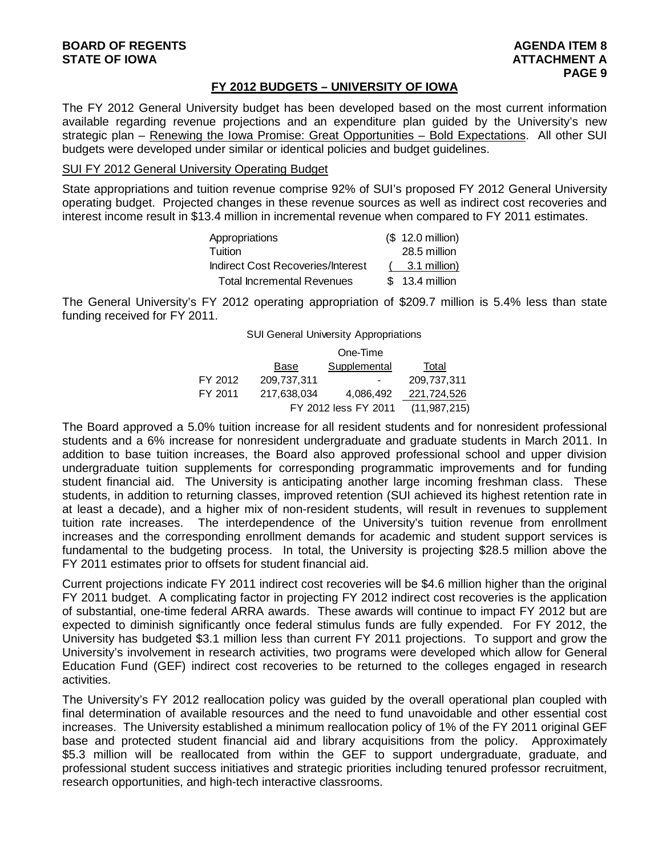#### **FY 2012 BUDGETS – UNIVERSITY OF IOWA**

The FY 2012 General University budget has been developed based on the most current information available regarding revenue projections and an expenditure plan guided by the University's new strategic plan – Renewing the Iowa Promise: Great Opportunities – Bold Expectations. All other SUI budgets were developed under similar or identical policies and budget guidelines.

#### SUI FY 2012 General University Operating Budget

State appropriations and tuition revenue comprise 92% of SUI's proposed FY 2012 General University operating budget. Projected changes in these revenue sources as well as indirect cost recoveries and interest income result in \$13.4 million in incremental revenue when compared to FY 2011 estimates.

| Appropriations                    | (\$ 12.0 million) |
|-----------------------------------|-------------------|
| Tuition                           | 28.5 million      |
| Indirect Cost Recoveries/Interest | 3.1 million)      |
| <b>Total Incremental Revenues</b> | $$13.4$ million   |

The General University's FY 2012 operating appropriation of \$209.7 million is 5.4% less than state funding received for FY 2011.

SUI General University Appropriations

|         |             | One-Time             |                |
|---------|-------------|----------------------|----------------|
|         | Base        | Supplemental         | Total          |
| FY 2012 | 209,737,311 |                      | 209,737,311    |
| FY 2011 | 217,638,034 | 4.086.492            | 221,724,526    |
|         |             | FY 2012 less FY 2011 | (11, 987, 215) |

The Board approved a 5.0% tuition increase for all resident students and for nonresident professional students and a 6% increase for nonresident undergraduate and graduate students in March 2011. In addition to base tuition increases, the Board also approved professional school and upper division undergraduate tuition supplements for corresponding programmatic improvements and for funding student financial aid. The University is anticipating another large incoming freshman class. These students, in addition to returning classes, improved retention (SUI achieved its highest retention rate in at least a decade), and a higher mix of non-resident students, will result in revenues to supplement tuition rate increases. The interdependence of the University's tuition revenue from enrollment increases and the corresponding enrollment demands for academic and student support services is fundamental to the budgeting process. In total, the University is projecting \$28.5 million above the FY 2011 estimates prior to offsets for student financial aid.

Current projections indicate FY 2011 indirect cost recoveries will be \$4.6 million higher than the original FY 2011 budget. A complicating factor in projecting FY 2012 indirect cost recoveries is the application of substantial, one-time federal ARRA awards. These awards will continue to impact FY 2012 but are expected to diminish significantly once federal stimulus funds are fully expended. For FY 2012, the University has budgeted \$3.1 million less than current FY 2011 projections. To support and grow the University's involvement in research activities, two programs were developed which allow for General Education Fund (GEF) indirect cost recoveries to be returned to the colleges engaged in research activities.

The University's FY 2012 reallocation policy was guided by the overall operational plan coupled with final determination of available resources and the need to fund unavoidable and other essential cost increases. The University established a minimum reallocation policy of 1% of the FY 2011 original GEF base and protected student financial aid and library acquisitions from the policy. Approximately \$5.3 million will be reallocated from within the GEF to support undergraduate, graduate, and professional student success initiatives and strategic priorities including tenured professor recruitment, research opportunities, and high-tech interactive classrooms.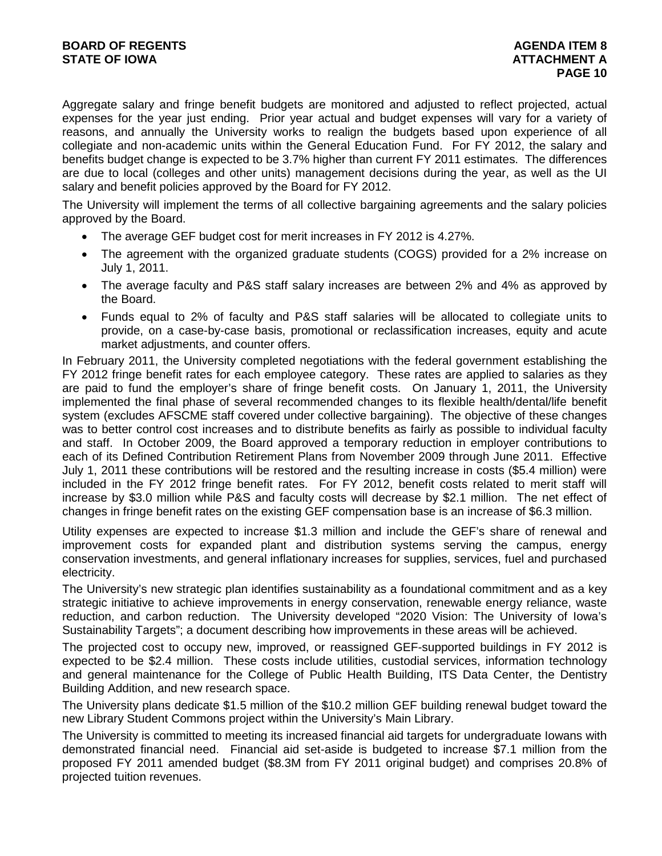Aggregate salary and fringe benefit budgets are monitored and adjusted to reflect projected, actual expenses for the year just ending. Prior year actual and budget expenses will vary for a variety of reasons, and annually the University works to realign the budgets based upon experience of all collegiate and non-academic units within the General Education Fund. For FY 2012, the salary and benefits budget change is expected to be 3.7% higher than current FY 2011 estimates. The differences are due to local (colleges and other units) management decisions during the year, as well as the UI salary and benefit policies approved by the Board for FY 2012.

The University will implement the terms of all collective bargaining agreements and the salary policies approved by the Board.

- The average GEF budget cost for merit increases in FY 2012 is 4.27%.
- The agreement with the organized graduate students (COGS) provided for a 2% increase on July 1, 2011.
- The average faculty and P&S staff salary increases are between 2% and 4% as approved by the Board.
- Funds equal to 2% of faculty and P&S staff salaries will be allocated to collegiate units to provide, on a case-by-case basis, promotional or reclassification increases, equity and acute market adjustments, and counter offers.

In February 2011, the University completed negotiations with the federal government establishing the FY 2012 fringe benefit rates for each employee category. These rates are applied to salaries as they are paid to fund the employer's share of fringe benefit costs. On January 1, 2011, the University implemented the final phase of several recommended changes to its flexible health/dental/life benefit system (excludes AFSCME staff covered under collective bargaining). The objective of these changes was to better control cost increases and to distribute benefits as fairly as possible to individual faculty and staff. In October 2009, the Board approved a temporary reduction in employer contributions to each of its Defined Contribution Retirement Plans from November 2009 through June 2011. Effective July 1, 2011 these contributions will be restored and the resulting increase in costs (\$5.4 million) were included in the FY 2012 fringe benefit rates. For FY 2012, benefit costs related to merit staff will increase by \$3.0 million while P&S and faculty costs will decrease by \$2.1 million. The net effect of changes in fringe benefit rates on the existing GEF compensation base is an increase of \$6.3 million.

Utility expenses are expected to increase \$1.3 million and include the GEF's share of renewal and improvement costs for expanded plant and distribution systems serving the campus, energy conservation investments, and general inflationary increases for supplies, services, fuel and purchased electricity.

The University's new strategic plan identifies sustainability as a foundational commitment and as a key strategic initiative to achieve improvements in energy conservation, renewable energy reliance, waste reduction, and carbon reduction. The University developed "2020 Vision: The University of Iowa's Sustainability Targets"; a document describing how improvements in these areas will be achieved.

The projected cost to occupy new, improved, or reassigned GEF-supported buildings in FY 2012 is expected to be \$2.4 million. These costs include utilities, custodial services, information technology and general maintenance for the College of Public Health Building, ITS Data Center, the Dentistry Building Addition, and new research space.

The University plans dedicate \$1.5 million of the \$10.2 million GEF building renewal budget toward the new Library Student Commons project within the University's Main Library.

The University is committed to meeting its increased financial aid targets for undergraduate Iowans with demonstrated financial need. Financial aid set-aside is budgeted to increase \$7.1 million from the proposed FY 2011 amended budget (\$8.3M from FY 2011 original budget) and comprises 20.8% of projected tuition revenues.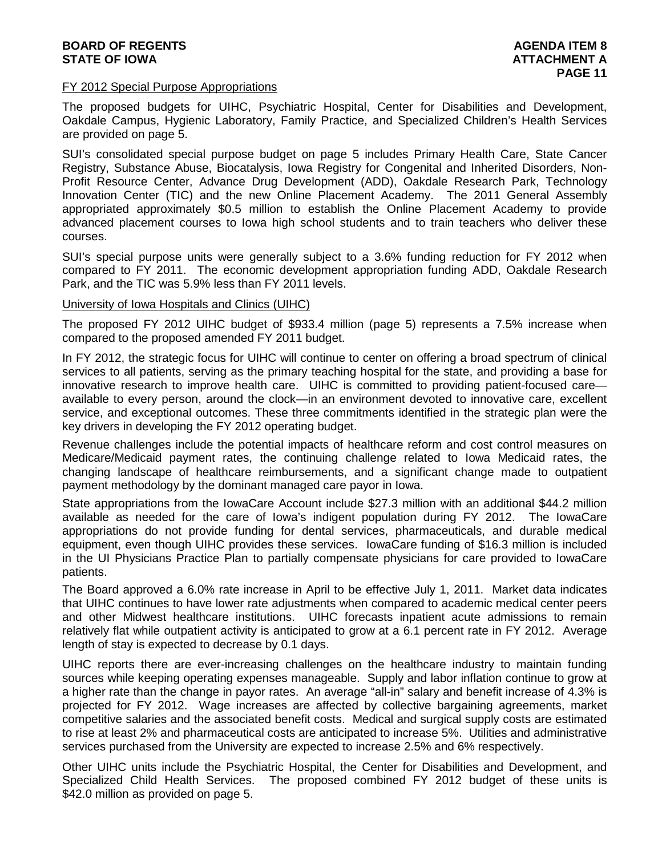#### FY 2012 Special Purpose Appropriations

The proposed budgets for UIHC, Psychiatric Hospital, Center for Disabilities and Development, Oakdale Campus, Hygienic Laboratory, Family Practice, and Specialized Children's Health Services are provided on page 5.

SUI's consolidated special purpose budget on page 5 includes Primary Health Care, State Cancer Registry, Substance Abuse, Biocatalysis, Iowa Registry for Congenital and Inherited Disorders, Non-Profit Resource Center, Advance Drug Development (ADD), Oakdale Research Park, Technology Innovation Center (TIC) and the new Online Placement Academy. The 2011 General Assembly appropriated approximately \$0.5 million to establish the Online Placement Academy to provide advanced placement courses to Iowa high school students and to train teachers who deliver these courses.

SUI's special purpose units were generally subject to a 3.6% funding reduction for FY 2012 when compared to FY 2011. The economic development appropriation funding ADD, Oakdale Research Park, and the TIC was 5.9% less than FY 2011 levels.

#### University of Iowa Hospitals and Clinics (UIHC)

The proposed FY 2012 UIHC budget of \$933.4 million (page 5) represents a 7.5% increase when compared to the proposed amended FY 2011 budget.

In FY 2012, the strategic focus for UIHC will continue to center on offering a broad spectrum of clinical services to all patients, serving as the primary teaching hospital for the state, and providing a base for innovative research to improve health care. UIHC is committed to providing patient-focused care available to every person, around the clock—in an environment devoted to innovative care, excellent service, and exceptional outcomes. These three commitments identified in the strategic plan were the key drivers in developing the FY 2012 operating budget.

Revenue challenges include the potential impacts of healthcare reform and cost control measures on Medicare/Medicaid payment rates, the continuing challenge related to Iowa Medicaid rates, the changing landscape of healthcare reimbursements, and a significant change made to outpatient payment methodology by the dominant managed care payor in Iowa.

State appropriations from the IowaCare Account include \$27.3 million with an additional \$44.2 million available as needed for the care of Iowa's indigent population during FY 2012. The IowaCare appropriations do not provide funding for dental services, pharmaceuticals, and durable medical equipment, even though UIHC provides these services. IowaCare funding of \$16.3 million is included in the UI Physicians Practice Plan to partially compensate physicians for care provided to IowaCare patients.

The Board approved a 6.0% rate increase in April to be effective July 1, 2011. Market data indicates that UIHC continues to have lower rate adjustments when compared to academic medical center peers and other Midwest healthcare institutions. UIHC forecasts inpatient acute admissions to remain relatively flat while outpatient activity is anticipated to grow at a 6.1 percent rate in FY 2012. Average length of stay is expected to decrease by 0.1 days.

UIHC reports there are ever-increasing challenges on the healthcare industry to maintain funding sources while keeping operating expenses manageable. Supply and labor inflation continue to grow at a higher rate than the change in payor rates. An average "all-in" salary and benefit increase of 4.3% is projected for FY 2012. Wage increases are affected by collective bargaining agreements, market competitive salaries and the associated benefit costs. Medical and surgical supply costs are estimated to rise at least 2% and pharmaceutical costs are anticipated to increase 5%. Utilities and administrative services purchased from the University are expected to increase 2.5% and 6% respectively.

Other UIHC units include the Psychiatric Hospital, the Center for Disabilities and Development, and Specialized Child Health Services. The proposed combined FY 2012 budget of these units is \$42.0 million as provided on page 5.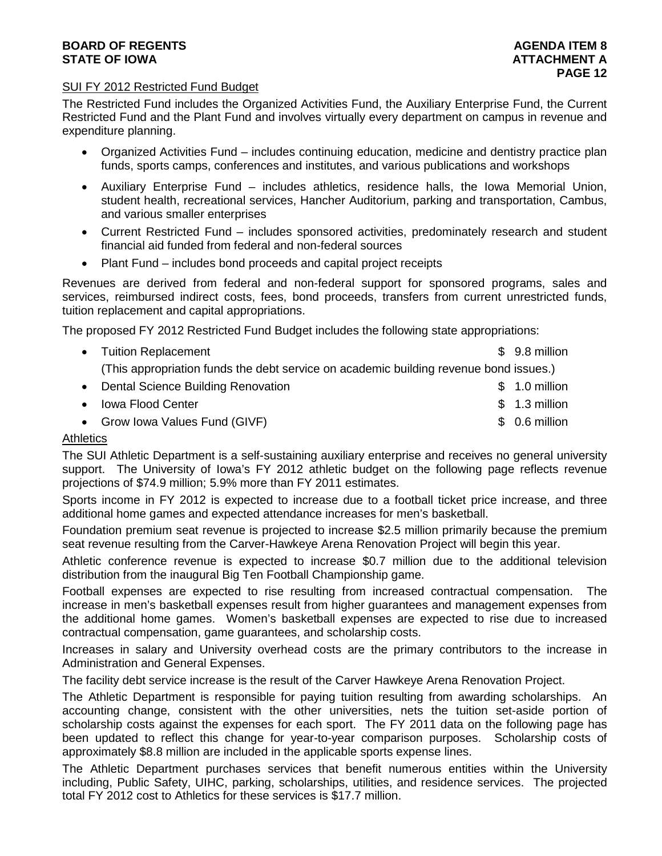#### **BOARD OF REGENTS**<br> **BOARD OF REGENTS**<br> **BOARD OF IOWA**<br> **ATTACHMENT A STATE OF IOWA**

#### SUI FY 2012 Restricted Fund Budget

The Restricted Fund includes the Organized Activities Fund, the Auxiliary Enterprise Fund, the Current Restricted Fund and the Plant Fund and involves virtually every department on campus in revenue and expenditure planning.

- Organized Activities Fund includes continuing education, medicine and dentistry practice plan funds, sports camps, conferences and institutes, and various publications and workshops
- Auxiliary Enterprise Fund includes athletics, residence halls, the Iowa Memorial Union, student health, recreational services, Hancher Auditorium, parking and transportation, Cambus, and various smaller enterprises
- Current Restricted Fund includes sponsored activities, predominately research and student financial aid funded from federal and non-federal sources
- Plant Fund includes bond proceeds and capital project receipts

Revenues are derived from federal and non-federal support for sponsored programs, sales and services, reimbursed indirect costs, fees, bond proceeds, transfers from current unrestricted funds, tuition replacement and capital appropriations.

The proposed FY 2012 Restricted Fund Budget includes the following state appropriations:

|           | • Tuition Replacement                                                                 | $$9.8$ million |
|-----------|---------------------------------------------------------------------------------------|----------------|
|           | (This appropriation funds the debt service on academic building revenue bond issues.) |                |
|           | • Dental Science Building Renovation                                                  | $$1.0$ million |
| $\bullet$ | <b>Iowa Flood Center</b>                                                              | $$1.3$ million |

• Grow Iowa Values Fund (GIVF)  $\sim$  8 0.6 million

#### **Athletics**

The SUI Athletic Department is a self-sustaining auxiliary enterprise and receives no general university support. The University of Iowa's FY 2012 athletic budget on the following page reflects revenue projections of \$74.9 million; 5.9% more than FY 2011 estimates.

Sports income in FY 2012 is expected to increase due to a football ticket price increase, and three additional home games and expected attendance increases for men's basketball.

Foundation premium seat revenue is projected to increase \$2.5 million primarily because the premium seat revenue resulting from the Carver-Hawkeye Arena Renovation Project will begin this year.

Athletic conference revenue is expected to increase \$0.7 million due to the additional television distribution from the inaugural Big Ten Football Championship game.

Football expenses are expected to rise resulting from increased contractual compensation. The increase in men's basketball expenses result from higher guarantees and management expenses from the additional home games. Women's basketball expenses are expected to rise due to increased contractual compensation, game guarantees, and scholarship costs.

Increases in salary and University overhead costs are the primary contributors to the increase in Administration and General Expenses.

The facility debt service increase is the result of the Carver Hawkeye Arena Renovation Project.

The Athletic Department is responsible for paying tuition resulting from awarding scholarships. An accounting change, consistent with the other universities, nets the tuition set-aside portion of scholarship costs against the expenses for each sport. The FY 2011 data on the following page has been updated to reflect this change for year-to-year comparison purposes. Scholarship costs of approximately \$8.8 million are included in the applicable sports expense lines.

The Athletic Department purchases services that benefit numerous entities within the University including, Public Safety, UIHC, parking, scholarships, utilities, and residence services. The projected total FY 2012 cost to Athletics for these services is \$17.7 million.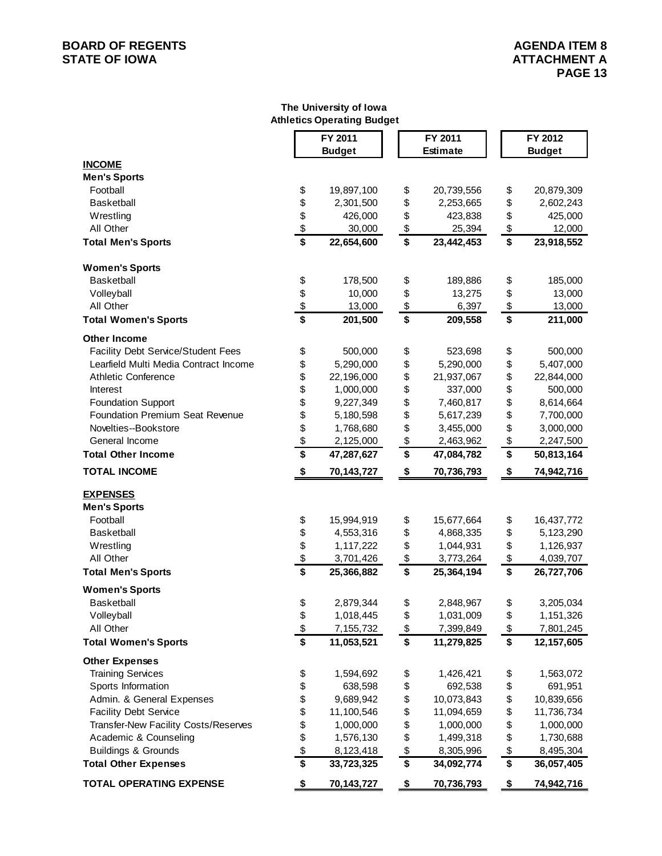#### **BOARD OF REGENTS**<br> **BOARD OF REGENTS**<br> **BOARD OF IOWA**<br> **ATTACHMENT A STATE OF IOWA**

#### **The University of Iowa Athletics Operating Budget**

|                                           |                                      | FY 2011       |                        | FY 2011         |  |                                      | FY 2012    |
|-------------------------------------------|--------------------------------------|---------------|------------------------|-----------------|--|--------------------------------------|------------|
|                                           |                                      | <b>Budget</b> |                        | <b>Estimate</b> |  | <b>Budget</b>                        |            |
| <b>INCOME</b>                             |                                      |               |                        |                 |  |                                      |            |
| <b>Men's Sports</b>                       |                                      |               |                        |                 |  |                                      |            |
| Football                                  | \$                                   | 19,897,100    | \$                     | 20,739,556      |  | \$                                   | 20,879,309 |
| <b>Basketball</b>                         | \$                                   | 2,301,500     | \$                     | 2,253,665       |  | \$                                   | 2,602,243  |
| Wrestling                                 | \$                                   | 426,000       | \$                     | 423,838         |  | \$                                   | 425,000    |
| All Other                                 | $\frac{1}{2}$                        | 30,000        | \$                     | 25,394          |  | \$                                   | 12,000     |
| <b>Total Men's Sports</b>                 | \$                                   | 22,654,600    | \$                     | 23,442,453      |  | $\overline{\boldsymbol{\mathsf{s}}}$ | 23,918,552 |
| <b>Women's Sports</b>                     |                                      |               |                        |                 |  |                                      |            |
| Basketball                                | \$                                   | 178,500       | \$                     | 189,886         |  | \$                                   | 185,000    |
| Volleyball                                | \$                                   | 10,000        | \$                     | 13,275          |  | \$                                   | 13,000     |
| All Other                                 | $\frac{1}{2}$                        | 13,000        | $$\mathbb{S}$$         | 6,397           |  | \$                                   | 13,000     |
| <b>Total Women's Sports</b>               | \$                                   | 201,500       | \$                     | 209,558         |  | \$                                   | 211,000    |
| <b>Other Income</b>                       |                                      |               |                        |                 |  |                                      |            |
| <b>Facility Debt Service/Student Fees</b> | \$                                   | 500,000       | \$                     | 523,698         |  | \$                                   | 500,000    |
| Learfield Multi Media Contract Income     | \$                                   | 5,290,000     | \$                     | 5,290,000       |  | \$                                   | 5,407,000  |
| <b>Athletic Conference</b>                | \$                                   | 22,196,000    | \$                     | 21,937,067      |  | \$                                   | 22,844,000 |
| Interest                                  | \$                                   | 1,000,000     | \$                     | 337,000         |  | \$                                   | 500,000    |
| <b>Foundation Support</b>                 | \$                                   | 9,227,349     | \$                     | 7,460,817       |  | \$                                   | 8,614,664  |
| <b>Foundation Premium Seat Revenue</b>    | \$                                   | 5,180,598     | \$                     | 5,617,239       |  | \$                                   | 7,700,000  |
| Novelties--Bookstore                      | \$                                   | 1,768,680     | \$                     | 3,455,000       |  | \$                                   | 3,000,000  |
| General Income                            |                                      | 2,125,000     | $\frac{1}{2}$          | 2,463,962       |  | \$                                   | 2,247,500  |
| <b>Total Other Income</b>                 | $\frac{3}{5}$                        | 47,287,627    | \$                     | 47,084,782      |  | \$                                   | 50,813,164 |
| <b>TOTAL INCOME</b>                       | $\boldsymbol{\hat{z}}$               | 70,143,727    | $\boldsymbol{\hat{z}}$ | 70,736,793      |  | \$                                   | 74,942,716 |
| <b>EXPENSES</b>                           |                                      |               |                        |                 |  |                                      |            |
| <b>Men's Sports</b>                       |                                      |               |                        |                 |  |                                      |            |
| Football                                  | \$                                   | 15,994,919    | \$                     | 15,677,664      |  | \$                                   | 16,437,772 |
| Basketball                                | \$                                   | 4,553,316     | \$                     | 4,868,335       |  | \$                                   | 5,123,290  |
| Wrestling                                 |                                      | 1,117,222     | \$                     | 1,044,931       |  | \$                                   | 1,126,937  |
| All Other                                 | \$<br>\$                             | 3,701,426     | \$                     | 3,773,264       |  | \$                                   | 4,039,707  |
| <b>Total Men's Sports</b>                 | $\overline{\mathbf{s}}$              | 25,366,882    | \$                     | 25,364,194      |  | \$                                   | 26,727,706 |
| <b>Women's Sports</b>                     |                                      |               |                        |                 |  |                                      |            |
| <b>Basketball</b>                         | \$                                   | 2,879,344     | \$                     | 2,848,967       |  | \$                                   | 3,205,034  |
| Volleyball                                | \$                                   | 1,018,445     | \$                     | 1,031,009       |  | \$                                   | 1,151,326  |
| All Other                                 | $\frac{1}{2}$                        | 7,155,732     | $$\mathbb{S}$$         | 7,399,849       |  | \$                                   | 7,801,245  |
| <b>Total Women's Sports</b>               | $\overline{\boldsymbol{\mathsf{s}}}$ | 11,053,521    | \$                     | 11,279,825      |  | \$                                   | 12,157,605 |
| <b>Other Expenses</b>                     |                                      |               |                        |                 |  |                                      |            |
| <b>Training Services</b>                  | \$                                   | 1,594,692     | \$                     | 1,426,421       |  | \$                                   | 1,563,072  |
| Sports Information                        | \$                                   | 638,598       | \$                     | 692,538         |  | \$                                   | 691,951    |
| Admin. & General Expenses                 | \$                                   | 9,689,942     | \$                     | 10,073,843      |  | \$                                   | 10,839,656 |
| <b>Facility Debt Service</b>              | \$                                   | 11,100,546    | \$                     | 11,094,659      |  | \$                                   | 11,736,734 |
| Transfer-New Facility Costs/Reserves      | \$                                   | 1,000,000     | \$                     | 1,000,000       |  | \$                                   | 1,000,000  |
| Academic & Counseling                     | \$                                   | 1,576,130     | \$                     | 1,499,318       |  | \$                                   | 1,730,688  |
| <b>Buildings &amp; Grounds</b>            | \$                                   | 8,123,418     | \$                     | 8,305,996       |  | \$                                   | 8,495,304  |
| <b>Total Other Expenses</b>               | \$                                   | 33,723,325    | \$                     | 34,092,774      |  | \$                                   | 36,057,405 |
| <b>TOTAL OPERATING EXPENSE</b>            | \$                                   | 70,143,727    | $\frac{1}{2}$          | 70,736,793      |  | \$                                   | 74,942,716 |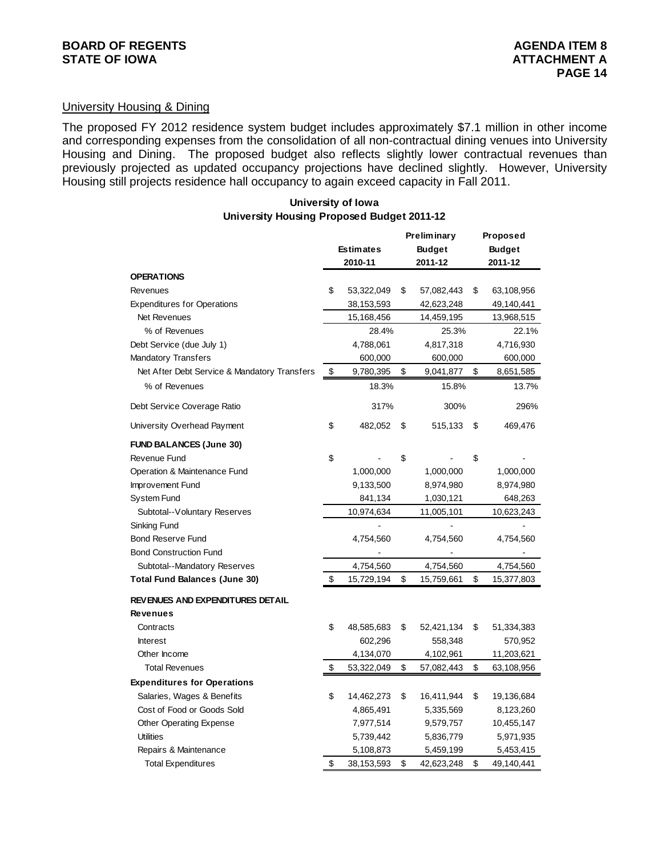#### University Housing & Dining

The proposed FY 2012 residence system budget includes approximately \$7.1 million in other income and corresponding expenses from the consolidation of all non-contractual dining venues into University Housing and Dining. The proposed budget also reflects slightly lower contractual revenues than previously projected as updated occupancy projections have declined slightly. However, University Housing still projects residence hall occupancy to again exceed capacity in Fall 2011.

#### **University of Iowa University Housing Proposed Budget 2011-12**

|                                              |                  | <b>Preliminary</b> |            | <b>Proposed</b> |            |
|----------------------------------------------|------------------|--------------------|------------|-----------------|------------|
|                                              | <b>Estimates</b> | <b>Budget</b>      |            | <b>Budget</b>   |            |
|                                              | 2010-11          |                    | 2011-12    |                 | 2011-12    |
| <b>OPERATIONS</b>                            |                  |                    |            |                 |            |
| Revenues                                     | \$<br>53,322,049 | \$                 | 57,082,443 | \$              | 63,108,956 |
| <b>Expenditures for Operations</b>           | 38,153,593       |                    | 42,623,248 |                 | 49,140,441 |
| Net Revenues                                 | 15,168,456       |                    | 14,459,195 |                 | 13,968,515 |
| % of Revenues                                | 28.4%            |                    | 25.3%      |                 | 22.1%      |
| Debt Service (due July 1)                    | 4,788,061        |                    | 4,817,318  |                 | 4,716,930  |
| <b>Mandatory Transfers</b>                   | 600,000          |                    | 600,000    |                 | 600,000    |
| Net After Debt Service & Mandatory Transfers | \$<br>9,780,395  | \$                 | 9,041,877  | \$              | 8,651,585  |
| % of Revenues                                | 18.3%            |                    | 15.8%      |                 | 13.7%      |
| Debt Service Coverage Ratio                  | 317%             |                    | 300%       |                 | 296%       |
| University Overhead Payment                  | \$<br>482,052    | \$                 | 515,133    | S               | 469,476    |
| <b>FUND BALANCES (June 30)</b>               |                  |                    |            |                 |            |
| Revenue Fund                                 | \$               | \$                 |            | \$              |            |
| Operation & Maintenance Fund                 | 1,000,000        |                    | 1,000,000  |                 | 1,000,000  |
| Improvement Fund                             | 9,133,500        |                    | 8,974,980  |                 | 8,974,980  |
| <b>System Fund</b>                           | 841,134          |                    | 1,030,121  |                 | 648,263    |
| Subtotal--Voluntary Reserves                 | 10,974,634       |                    | 11,005,101 |                 | 10,623,243 |
| Sinking Fund                                 |                  |                    |            |                 |            |
| <b>Bond Reserve Fund</b>                     | 4,754,560        |                    | 4,754,560  |                 | 4,754,560  |
| <b>Bond Construction Fund</b>                |                  |                    |            |                 |            |
| Subtotal--Mandatory Reserves                 | 4,754,560        |                    | 4,754,560  |                 | 4,754,560  |
| <b>Total Fund Balances (June 30)</b>         | \$<br>15,729,194 | \$                 | 15,759,661 | \$              | 15,377,803 |
| REVENUES AND EXPENDITURES DETAIL             |                  |                    |            |                 |            |
| <b>Revenues</b>                              |                  |                    |            |                 |            |
| Contracts                                    | \$<br>48,585,683 | \$                 | 52,421,134 | S               | 51,334,383 |
| <b>Interest</b>                              | 602,296          |                    | 558,348    |                 | 570,952    |
| Other Income                                 | 4,134,070        |                    | 4,102,961  |                 | 11,203,621 |
| <b>Total Revenues</b>                        | \$<br>53,322,049 | \$                 | 57,082,443 | \$              | 63,108,956 |
| <b>Expenditures for Operations</b>           |                  |                    |            |                 |            |
| Salaries, Wages & Benefits                   | \$<br>14,462,273 | \$                 | 16,411,944 | \$              | 19,136,684 |
| Cost of Food or Goods Sold                   | 4,865,491        |                    | 5,335,569  |                 | 8,123,260  |
| <b>Other Operating Expense</b>               | 7,977,514        |                    | 9,579,757  |                 | 10,455,147 |
| <b>Utilities</b>                             | 5,739,442        |                    | 5,836,779  |                 | 5,971,935  |
| Repairs & Maintenance                        | 5,108,873        |                    | 5,459,199  |                 | 5,453,415  |
| <b>Total Expenditures</b>                    | \$<br>38,153,593 | \$                 | 42,623,248 | \$              | 49,140,441 |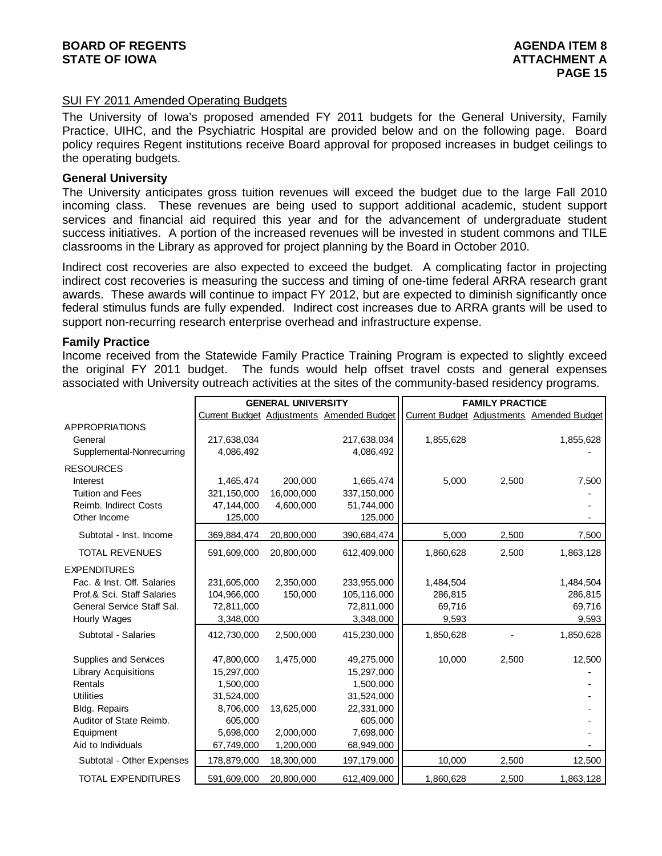#### SUI FY 2011 Amended Operating Budgets

The University of Iowa's proposed amended FY 2011 budgets for the General University, Family Practice, UIHC, and the Psychiatric Hospital are provided below and on the following page. Board policy requires Regent institutions receive Board approval for proposed increases in budget ceilings to the operating budgets.

#### **General University**

The University anticipates gross tuition revenues will exceed the budget due to the large Fall 2010 incoming class. These revenues are being used to support additional academic, student support services and financial aid required this year and for the advancement of undergraduate student success initiatives. A portion of the increased revenues will be invested in student commons and TILE classrooms in the Library as approved for project planning by the Board in October 2010.

Indirect cost recoveries are also expected to exceed the budget. A complicating factor in projecting indirect cost recoveries is measuring the success and timing of one-time federal ARRA research grant awards. These awards will continue to impact FY 2012, but are expected to diminish significantly once federal stimulus funds are fully expended. Indirect cost increases due to ARRA grants will be used to support non-recurring research enterprise overhead and infrastructure expense.

#### **Family Practice**

Income received from the Statewide Family Practice Training Program is expected to slightly exceed the original FY 2011 budget. The funds would help offset travel costs and general expenses associated with University outreach activities at the sites of the community-based residency programs.

|                             |             | <b>GENERAL UNIVERSITY</b> |                                           | <b>FAMILY PRACTICE</b> |       |                                           |  |
|-----------------------------|-------------|---------------------------|-------------------------------------------|------------------------|-------|-------------------------------------------|--|
|                             |             |                           | Current Budget Adjustments Amended Budget |                        |       | Current Budget Adjustments Amended Budget |  |
| <b>APPROPRIATIONS</b>       |             |                           |                                           |                        |       |                                           |  |
| General                     | 217,638,034 |                           | 217,638,034                               | 1,855,628              |       | 1,855,628                                 |  |
| Supplemental-Nonrecurring   | 4,086,492   |                           | 4,086,492                                 |                        |       |                                           |  |
| <b>RESOURCES</b>            |             |                           |                                           |                        |       |                                           |  |
| <b>Interest</b>             | 1,465,474   | 200,000                   | 1,665,474                                 | 5,000                  | 2,500 | 7,500                                     |  |
| <b>Tuition and Fees</b>     | 321,150,000 | 16,000,000                | 337,150,000                               |                        |       |                                           |  |
| Reimb. Indirect Costs       | 47,144,000  | 4,600,000                 | 51,744,000                                |                        |       |                                           |  |
| Other Income                | 125,000     |                           | 125,000                                   |                        |       |                                           |  |
| Subtotal - Inst. Income     | 369,884,474 | 20,800,000                | 390,684,474                               | 5,000                  | 2,500 | 7,500                                     |  |
| <b>TOTAL REVENUES</b>       | 591,609,000 | 20,800,000                | 612,409,000                               | 1,860,628              | 2,500 | 1,863,128                                 |  |
| <b>EXPENDITURES</b>         |             |                           |                                           |                        |       |                                           |  |
| Fac. & Inst. Off. Salaries  | 231,605,000 | 2,350,000                 | 233,955,000                               | 1,484,504              |       | 1,484,504                                 |  |
| Prof.& Sci. Staff Salaries  | 104,966,000 | 150,000                   | 105,116,000                               | 286,815                |       | 286,815                                   |  |
| General Service Staff Sal.  | 72,811,000  |                           | 72,811,000                                | 69,716                 |       | 69,716                                    |  |
| Hourly Wages                | 3,348,000   |                           | 3,348,000                                 | 9,593                  |       | 9,593                                     |  |
| Subtotal - Salaries         | 412,730,000 | 2,500,000                 | 415,230,000                               | 1,850,628              |       | 1,850,628                                 |  |
| Supplies and Services       | 47,800,000  | 1,475,000                 | 49,275,000                                | 10,000                 | 2,500 | 12,500                                    |  |
| <b>Library Acquisitions</b> | 15,297,000  |                           | 15,297,000                                |                        |       |                                           |  |
| Rentals                     | 1,500,000   |                           | 1,500,000                                 |                        |       |                                           |  |
| <b>Utilities</b>            | 31,524,000  |                           | 31,524,000                                |                        |       |                                           |  |
| <b>Bldg. Repairs</b>        | 8,706,000   | 13,625,000                | 22,331,000                                |                        |       |                                           |  |
| Auditor of State Reimb.     | 605,000     |                           | 605,000                                   |                        |       |                                           |  |
| Equipment                   | 5,698,000   | 2,000,000                 | 7,698,000                                 |                        |       |                                           |  |
| Aid to Individuals          | 67,749,000  | 1,200,000                 | 68,949,000                                |                        |       |                                           |  |
| Subtotal - Other Expenses   | 178,879,000 | 18,300,000                | 197, 179, 000                             | 10,000                 | 2,500 | 12,500                                    |  |
| <b>TOTAL EXPENDITURES</b>   | 591,609,000 | 20,800,000                | 612,409,000                               | 1,860,628              | 2,500 | 1,863,128                                 |  |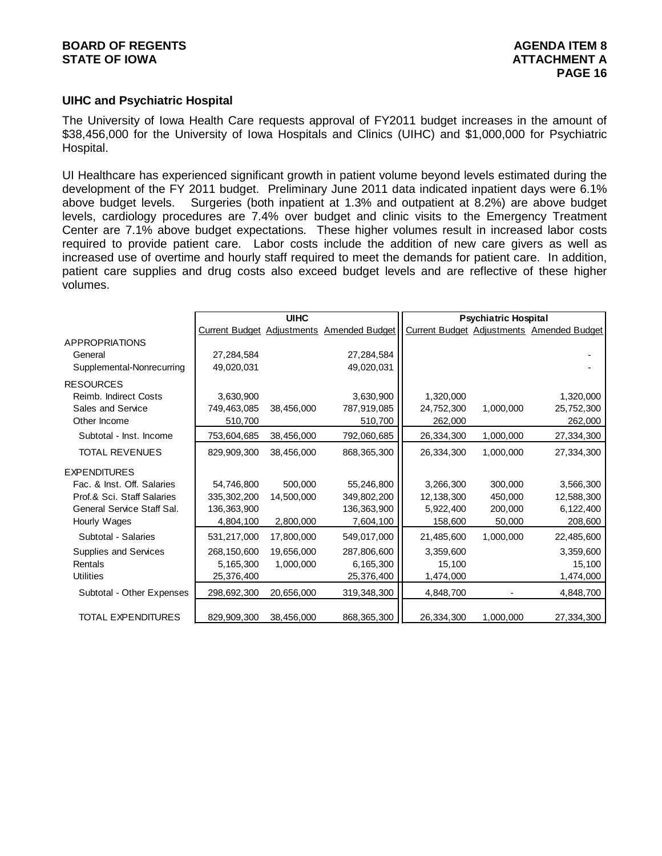#### **UIHC and Psychiatric Hospital**

The University of Iowa Health Care requests approval of FY2011 budget increases in the amount of \$38,456,000 for the University of Iowa Hospitals and Clinics (UIHC) and \$1,000,000 for Psychiatric Hospital.

UI Healthcare has experienced significant growth in patient volume beyond levels estimated during the development of the FY 2011 budget. Preliminary June 2011 data indicated inpatient days were 6.1% above budget levels. Surgeries (both inpatient at 1.3% and outpatient at 8.2%) are above budget levels, cardiology procedures are 7.4% over budget and clinic visits to the Emergency Treatment Center are 7.1% above budget expectations. These higher volumes result in increased labor costs required to provide patient care. Labor costs include the addition of new care givers as well as increased use of overtime and hourly staff required to meet the demands for patient care. In addition, patient care supplies and drug costs also exceed budget levels and are reflective of these higher volumes.

|                            |               | <b>UIHC</b> |                                           |            | <b>Psychiatric Hospital</b> |                                           |
|----------------------------|---------------|-------------|-------------------------------------------|------------|-----------------------------|-------------------------------------------|
|                            |               |             | Current Budget Adjustments Amended Budget |            |                             | Current Budget Adjustments Amended Budget |
| <b>APPROPRIATIONS</b>      |               |             |                                           |            |                             |                                           |
| General                    | 27,284,584    |             | 27,284,584                                |            |                             |                                           |
| Supplemental-Nonrecurring  | 49,020,031    |             | 49,020,031                                |            |                             |                                           |
| <b>RESOURCES</b>           |               |             |                                           |            |                             |                                           |
| Reimb. Indirect Costs      | 3,630,900     |             | 3,630,900                                 | 1,320,000  |                             | 1,320,000                                 |
| Sales and Service          | 749,463,085   | 38,456,000  | 787,919,085                               | 24,752,300 | 1,000,000                   | 25,752,300                                |
| Other Income               | 510,700       |             | 510,700                                   | 262,000    |                             | 262,000                                   |
| Subtotal - Inst. Income    | 753,604,685   | 38,456,000  | 792,060,685                               | 26,334,300 | 1,000,000                   | 27,334,300                                |
| <b>TOTAL REVENUES</b>      | 829,909,300   | 38,456,000  | 868, 365, 300                             | 26,334,300 | 1,000,000                   | 27,334,300                                |
| <b>EXPENDITURES</b>        |               |             |                                           |            |                             |                                           |
| Fac. & Inst. Off. Salaries | 54,746,800    | 500,000     | 55,246,800                                | 3,266,300  | 300,000                     | 3,566,300                                 |
| Prof.& Sci. Staff Salaries | 335, 302, 200 | 14,500,000  | 349,802,200                               | 12,138,300 | 450,000                     | 12,588,300                                |
| General Service Staff Sal. | 136,363,900   |             | 136,363,900                               | 5,922,400  | 200,000                     | 6,122,400                                 |
| Hourly Wages               | 4,804,100     | 2,800,000   | 7,604,100                                 | 158,600    | 50,000                      | 208,600                                   |
| Subtotal - Salaries        | 531,217,000   | 17,800,000  | 549,017,000                               | 21,485,600 | 1,000,000                   | 22,485,600                                |
| Supplies and Services      | 268,150,600   | 19,656,000  | 287,806,600                               | 3,359,600  |                             | 3,359,600                                 |
| Rentals                    | 5,165,300     | 1,000,000   | 6,165,300                                 | 15,100     |                             | 15,100                                    |
| <b>Utilities</b>           | 25,376,400    |             | 25,376,400                                | 1,474,000  |                             | 1,474,000                                 |
| Subtotal - Other Expenses  | 298,692,300   | 20,656,000  | 319,348,300                               | 4,848,700  |                             | 4,848,700                                 |
|                            |               |             |                                           |            |                             |                                           |
| <b>TOTAL EXPENDITURES</b>  | 829,909,300   | 38,456,000  | 868, 365, 300                             | 26,334,300 | 1,000,000                   | 27,334,300                                |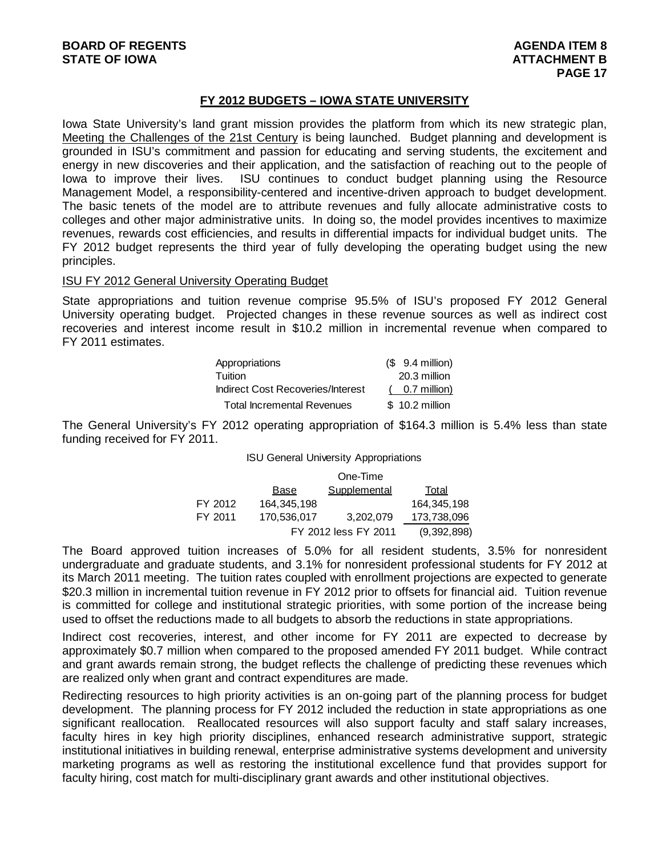#### **FY 2012 BUDGETS – IOWA STATE UNIVERSITY**

Iowa State University's land grant mission provides the platform from which its new strategic plan, Meeting the Challenges of the 21st Century is being launched. Budget planning and development is grounded in ISU's commitment and passion for educating and serving students, the excitement and energy in new discoveries and their application, and the satisfaction of reaching out to the people of Iowa to improve their lives. ISU continues to conduct budget planning using the Resource Management Model, a responsibility-centered and incentive-driven approach to budget development. The basic tenets of the model are to attribute revenues and fully allocate administrative costs to colleges and other major administrative units. In doing so, the model provides incentives to maximize revenues, rewards cost efficiencies, and results in differential impacts for individual budget units. The FY 2012 budget represents the third year of fully developing the operating budget using the new principles.

#### ISU FY 2012 General University Operating Budget

State appropriations and tuition revenue comprise 95.5% of ISU's proposed FY 2012 General University operating budget. Projected changes in these revenue sources as well as indirect cost recoveries and interest income result in \$10.2 million in incremental revenue when compared to FY 2011 estimates.

| Appropriations                    | $$9.4$ million) |
|-----------------------------------|-----------------|
| Tuition                           | 20.3 million    |
| Indirect Cost Recoveries/Interest | 0.7 million)    |
| Total Incremental Revenues        | \$10.2 million  |

The General University's FY 2012 operating appropriation of \$164.3 million is 5.4% less than state funding received for FY 2011.

ISU General University Appropriations

|         |                      | One-Time            |             |
|---------|----------------------|---------------------|-------------|
|         | Base                 | <b>Supplemental</b> | Total       |
| FY 2012 | 164.345.198          |                     | 164.345.198 |
| FY 2011 | 170,536,017          | 3,202,079           | 173,738,096 |
|         | FY 2012 less FY 2011 | (9,392,898)         |             |

The Board approved tuition increases of 5.0% for all resident students, 3.5% for nonresident undergraduate and graduate students, and 3.1% for nonresident professional students for FY 2012 at its March 2011 meeting. The tuition rates coupled with enrollment projections are expected to generate \$20.3 million in incremental tuition revenue in FY 2012 prior to offsets for financial aid. Tuition revenue is committed for college and institutional strategic priorities, with some portion of the increase being used to offset the reductions made to all budgets to absorb the reductions in state appropriations.

Indirect cost recoveries, interest, and other income for FY 2011 are expected to decrease by approximately \$0.7 million when compared to the proposed amended FY 2011 budget. While contract and grant awards remain strong, the budget reflects the challenge of predicting these revenues which are realized only when grant and contract expenditures are made.

Redirecting resources to high priority activities is an on-going part of the planning process for budget development. The planning process for FY 2012 included the reduction in state appropriations as one significant reallocation. Reallocated resources will also support faculty and staff salary increases, faculty hires in key high priority disciplines, enhanced research administrative support, strategic institutional initiatives in building renewal, enterprise administrative systems development and university marketing programs as well as restoring the institutional excellence fund that provides support for faculty hiring, cost match for multi-disciplinary grant awards and other institutional objectives.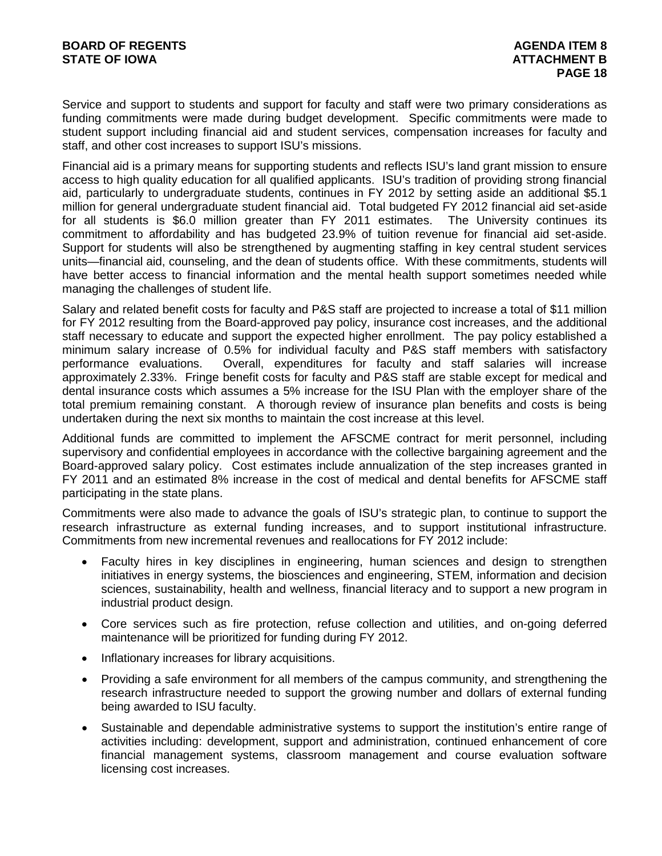Service and support to students and support for faculty and staff were two primary considerations as funding commitments were made during budget development. Specific commitments were made to student support including financial aid and student services, compensation increases for faculty and staff, and other cost increases to support ISU's missions.

Financial aid is a primary means for supporting students and reflects ISU's land grant mission to ensure access to high quality education for all qualified applicants. ISU's tradition of providing strong financial aid, particularly to undergraduate students, continues in FY 2012 by setting aside an additional \$5.1 million for general undergraduate student financial aid. Total budgeted FY 2012 financial aid set-aside for all students is \$6.0 million greater than FY 2011 estimates. The University continues its for all students is  $$6.0$  million greater than FY 2011 estimates. commitment to affordability and has budgeted 23.9% of tuition revenue for financial aid set-aside. Support for students will also be strengthened by augmenting staffing in key central student services units—financial aid, counseling, and the dean of students office. With these commitments, students will have better access to financial information and the mental health support sometimes needed while managing the challenges of student life.

Salary and related benefit costs for faculty and P&S staff are projected to increase a total of \$11 million for FY 2012 resulting from the Board-approved pay policy, insurance cost increases, and the additional staff necessary to educate and support the expected higher enrollment. The pay policy established a minimum salary increase of 0.5% for individual faculty and P&S staff members with satisfactory performance evaluations. Overall, expenditures for faculty and staff salaries will increase approximately 2.33%. Fringe benefit costs for faculty and P&S staff are stable except for medical and dental insurance costs which assumes a 5% increase for the ISU Plan with the employer share of the total premium remaining constant. A thorough review of insurance plan benefits and costs is being undertaken during the next six months to maintain the cost increase at this level.

Additional funds are committed to implement the AFSCME contract for merit personnel, including supervisory and confidential employees in accordance with the collective bargaining agreement and the Board-approved salary policy. Cost estimates include annualization of the step increases granted in FY 2011 and an estimated 8% increase in the cost of medical and dental benefits for AFSCME staff participating in the state plans.

Commitments were also made to advance the goals of ISU's strategic plan, to continue to support the research infrastructure as external funding increases, and to support institutional infrastructure. Commitments from new incremental revenues and reallocations for FY 2012 include:

- Faculty hires in key disciplines in engineering, human sciences and design to strengthen initiatives in energy systems, the biosciences and engineering, STEM, information and decision sciences, sustainability, health and wellness, financial literacy and to support a new program in industrial product design.
- Core services such as fire protection, refuse collection and utilities, and on-going deferred maintenance will be prioritized for funding during FY 2012.
- Inflationary increases for library acquisitions.
- Providing a safe environment for all members of the campus community, and strengthening the research infrastructure needed to support the growing number and dollars of external funding being awarded to ISU faculty.
- Sustainable and dependable administrative systems to support the institution's entire range of activities including: development, support and administration, continued enhancement of core financial management systems, classroom management and course evaluation software licensing cost increases.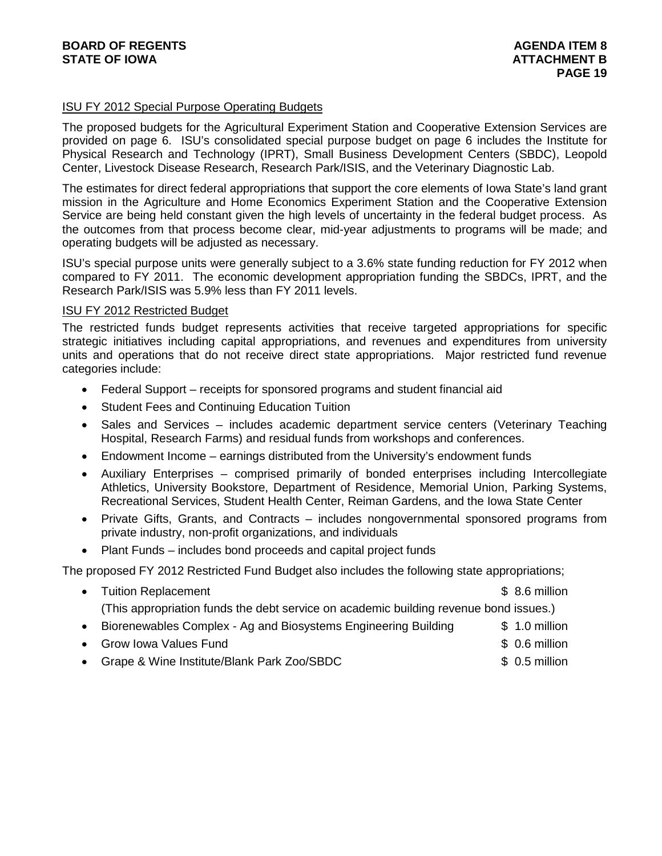#### ISU FY 2012 Special Purpose Operating Budgets

The proposed budgets for the Agricultural Experiment Station and Cooperative Extension Services are provided on page 6. ISU's consolidated special purpose budget on page 6 includes the Institute for Physical Research and Technology (IPRT), Small Business Development Centers (SBDC), Leopold Center, Livestock Disease Research, Research Park/ISIS, and the Veterinary Diagnostic Lab.

The estimates for direct federal appropriations that support the core elements of Iowa State's land grant mission in the Agriculture and Home Economics Experiment Station and the Cooperative Extension Service are being held constant given the high levels of uncertainty in the federal budget process. As the outcomes from that process become clear, mid-year adjustments to programs will be made; and operating budgets will be adjusted as necessary.

ISU's special purpose units were generally subject to a 3.6% state funding reduction for FY 2012 when compared to FY 2011. The economic development appropriation funding the SBDCs, IPRT, and the Research Park/ISIS was 5.9% less than FY 2011 levels.

#### ISU FY 2012 Restricted Budget

The restricted funds budget represents activities that receive targeted appropriations for specific strategic initiatives including capital appropriations, and revenues and expenditures from university units and operations that do not receive direct state appropriations. Major restricted fund revenue categories include:

- Federal Support receipts for sponsored programs and student financial aid
- Student Fees and Continuing Education Tuition
- Sales and Services includes academic department service centers (Veterinary Teaching Hospital, Research Farms) and residual funds from workshops and conferences.
- Endowment Income earnings distributed from the University's endowment funds
- Auxiliary Enterprises comprised primarily of bonded enterprises including Intercollegiate Athletics, University Bookstore, Department of Residence, Memorial Union, Parking Systems, Recreational Services, Student Health Center, Reiman Gardens, and the Iowa State Center
- Private Gifts, Grants, and Contracts includes nongovernmental sponsored programs from private industry, non-profit organizations, and individuals
- Plant Funds includes bond proceeds and capital project funds

The proposed FY 2012 Restricted Fund Budget also includes the following state appropriations;

- Tuition Replacement **building the set of the set of the set of the set of the set of the set of the set of the set of the set of the set of the set of the set of the set of the set of the set of the set of the set of the** (This appropriation funds the debt service on academic building revenue bond issues.)
- Biorenewables Complex Ag and Biosystems Engineering Building \$ 1.0 million
- Grow Iowa Values Fund \$ 0.6 million
- Grape & Wine Institute/Blank Park Zoo/SBDC  $$ 0.5$  million
- -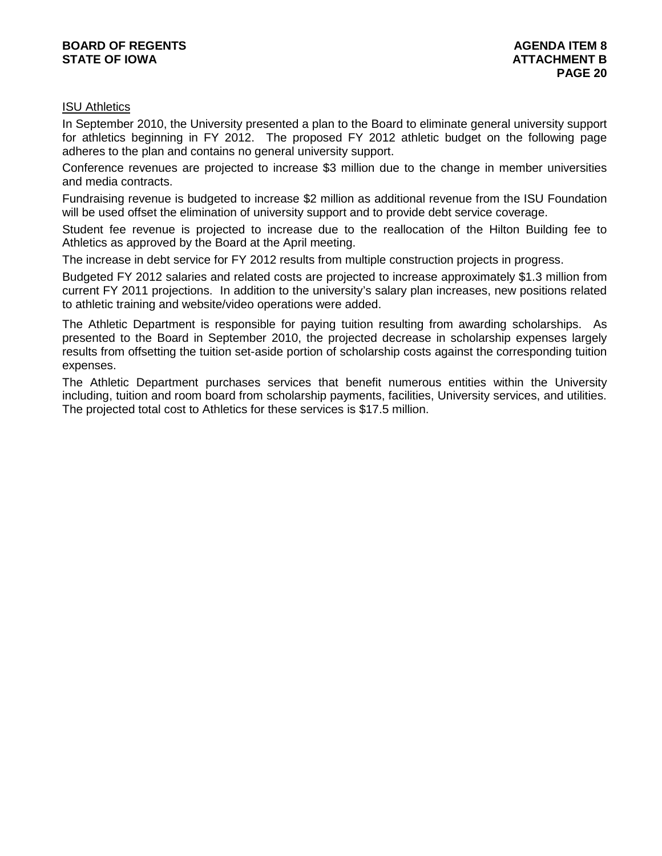#### **BOARD OF REGENTS**<br> **BOARD OF REGENTS**<br> **BOARD OF IOWA**<br> **ATTACHMENT B STATE OF IOWA**

#### ISU Athletics

In September 2010, the University presented a plan to the Board to eliminate general university support for athletics beginning in FY 2012. The proposed FY 2012 athletic budget on the following page adheres to the plan and contains no general university support.

Conference revenues are projected to increase \$3 million due to the change in member universities and media contracts.

Fundraising revenue is budgeted to increase \$2 million as additional revenue from the ISU Foundation will be used offset the elimination of university support and to provide debt service coverage.

Student fee revenue is projected to increase due to the reallocation of the Hilton Building fee to Athletics as approved by the Board at the April meeting.

The increase in debt service for FY 2012 results from multiple construction projects in progress.

Budgeted FY 2012 salaries and related costs are projected to increase approximately \$1.3 million from current FY 2011 projections. In addition to the university's salary plan increases, new positions related to athletic training and website/video operations were added.

The Athletic Department is responsible for paying tuition resulting from awarding scholarships. As presented to the Board in September 2010, the projected decrease in scholarship expenses largely results from offsetting the tuition set-aside portion of scholarship costs against the corresponding tuition expenses.

The Athletic Department purchases services that benefit numerous entities within the University including, tuition and room board from scholarship payments, facilities, University services, and utilities. The projected total cost to Athletics for these services is \$17.5 million.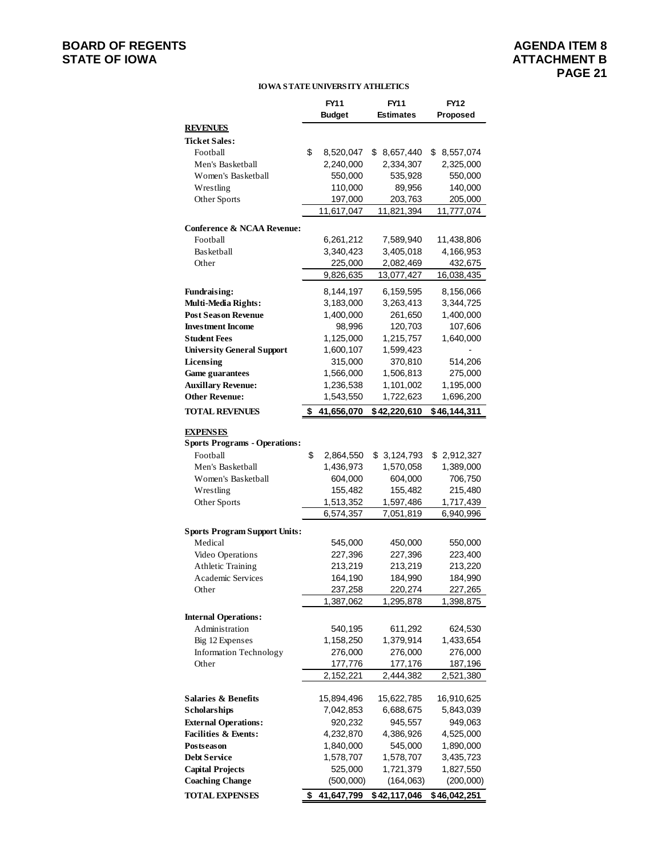#### **BOARD OF REGENTS**<br> **BOARD OF REGENTS**<br> **AGENDA ITEM 8**<br> **ATTACHMENT B STATE OF IOWA**

#### **IOWA STATE UNIVERSITY ATHLETICS**

|                                      | FY11             | FY11             | <b>FY12</b>     |
|--------------------------------------|------------------|------------------|-----------------|
|                                      | <b>Budget</b>    | <b>Estimates</b> | Proposed        |
| <b>REVENUES</b>                      |                  |                  |                 |
| <b>Ticket Sales:</b>                 |                  |                  |                 |
| Football                             | \$<br>8,520,047  | \$8,657,440      | 8,557,074<br>\$ |
| Men's Basketball                     | 2,240,000        | 2,334,307        | 2,325,000       |
| Women's Basketball                   | 550,000          | 535,928          | 550,000         |
| Wrestling                            | 110,000          | 89,956           | 140,000         |
| Other Sports                         | 197,000          | 203,763          | 205,000         |
|                                      | 11,617,047       | 11,821,394       | 11,777,074      |
| Conference & NCAA Revenue:           |                  |                  |                 |
| Football                             | 6,261,212        | 7,589,940        | 11,438,806      |
| Basketball                           | 3,340,423        | 3,405,018        | 4,166,953       |
| Other                                | 225,000          | 2,082,469        | 432,675         |
|                                      | 9,826,635        | 13,077,427       | 16,038,435      |
| <b>Fundraising:</b>                  | 8,144,197        | 6,159,595        | 8,156,066       |
| Multi-Media Rights:                  | 3,183,000        | 3,263,413        | 3,344,725       |
| <b>Post Season Revenue</b>           | 1,400,000        | 261,650          | 1,400,000       |
| <b>Investment Income</b>             | 98,996           | 120,703          | 107,606         |
| <b>Student Fees</b>                  | 1,125,000        | 1,215,757        | 1,640,000       |
| <b>University General Support</b>    | 1,600,107        | 1,599,423        |                 |
| Licensing                            | 315,000          | 370,810          | 514,206         |
| <b>Game guarantees</b>               | 1,566,000        | 1,506,813        | 275,000         |
| <b>Auxillary Revenue:</b>            | 1,236,538        | 1,101,002        | 1,195,000       |
| <b>Other Revenue:</b>                | 1,543,550        | 1,722,623        | 1,696,200       |
| <b>TOTAL REVENUES</b>                | \$<br>41,656,070 | \$42,220,610     | \$46,144,311    |
|                                      |                  |                  |                 |
| <b>EXPENSES</b>                      |                  |                  |                 |
| <b>Sports Programs - Operations:</b> |                  |                  |                 |
| Football                             | \$<br>2,864,550  | \$3,124,793      | \$2,912,327     |
| Men's Basketball                     | 1,436,973        | 1,570,058        | 1,389,000       |
| Women's Basketball                   | 604,000          | 604,000          | 706,750         |
| Wrestling                            | 155,482          | 155,482          | 215,480         |
| Other Sports                         | 1,513,352        | 1,597,486        | 1,717,439       |
|                                      | 6,574,357        | 7,051,819        | 6,940,996       |
| <b>Sports Program Support Units:</b> |                  |                  |                 |
| Medical                              | 545,000          | 450,000          | 550,000         |
| Video Operations                     | 227,396          | 227,396          | 223,400         |
| Athletic Training                    | 213,219          | 213,219          | 213,220         |
| Academic Services                    | 164,190          | 184,990          | 184,990         |
| Other                                | 237,258          | 220,274          | 227,265         |
|                                      | 1,387,062        | 1,295,878        | 1,398,875       |
| <b>Internal Operations:</b>          |                  |                  |                 |
| Administration                       | 540,195          | 611,292          | 624,530         |
| Big 12 Expenses                      | 1,158,250        | 1,379,914        | 1,433,654       |
| <b>Information Technology</b>        | 276,000          | 276,000          | 276,000         |
| Other                                | 177,776          | 177,176          | 187,196         |
|                                      | 2,152,221        | 2,444,382        | 2,521,380       |
|                                      |                  |                  |                 |
| <b>Salaries &amp; Benefits</b>       | 15,894,496       | 15,622,785       | 16,910,625      |
| <b>Scholarships</b>                  | 7,042,853        | 6,688,675        | 5,843,039       |
| <b>External Operations:</b>          | 920,232          | 945,557          | 949,063         |
| <b>Facilities &amp; Events:</b>      | 4,232,870        | 4,386,926        | 4,525,000       |
| Postseason                           | 1,840,000        | 545,000          | 1,890,000       |
| <b>Debt Service</b>                  | 1,578,707        | 1,578,707        | 3,435,723       |
| <b>Capital Projects</b>              | 525,000          | 1,721,379        | 1,827,550       |
| <b>Coaching Change</b>               | (500,000)        | (164, 063)       | (200,000)       |
| <b>TOTAL EXPENSES</b>                | \$<br>41,647,799 | \$42,117,046     | \$46,042,251    |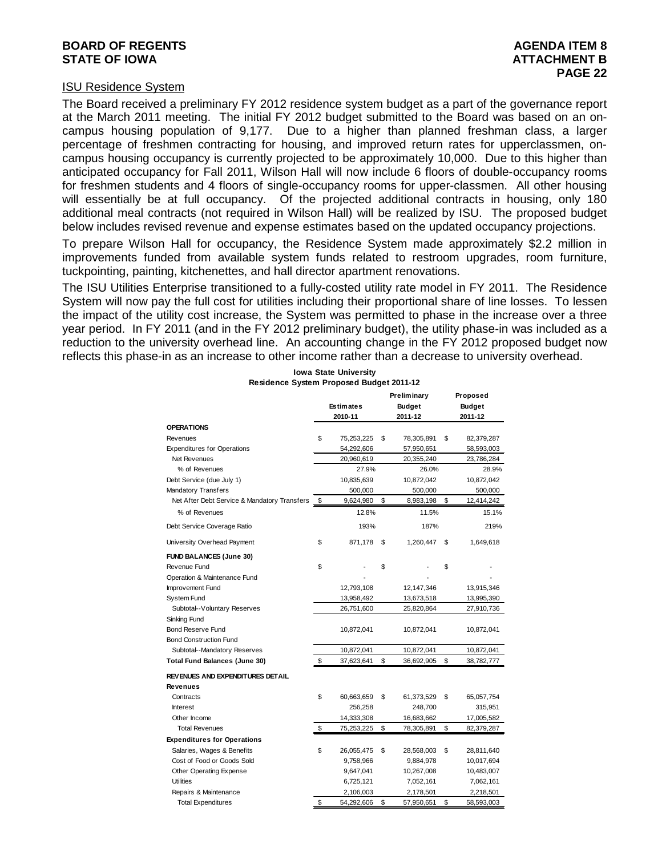#### **BOARD OF REGENTS**<br> **BOARD OF REGENTS**<br> **BOARD OF IOWA**<br> **ATTACHMENT B STATE OF IOWA**

#### ISU Residence System

The Board received a preliminary FY 2012 residence system budget as a part of the governance report at the March 2011 meeting. The initial FY 2012 budget submitted to the Board was based on an oncampus housing population of 9,177. Due to a higher than planned freshman class, a larger percentage of freshmen contracting for housing, and improved return rates for upperclassmen, oncampus housing occupancy is currently projected to be approximately 10,000. Due to this higher than anticipated occupancy for Fall 2011, Wilson Hall will now include 6 floors of double-occupancy rooms for freshmen students and 4 floors of single-occupancy rooms for upper-classmen. All other housing will essentially be at full occupancy. Of the projected additional contracts in housing, only 180 additional meal contracts (not required in Wilson Hall) will be realized by ISU. The proposed budget below includes revised revenue and expense estimates based on the updated occupancy projections.

To prepare Wilson Hall for occupancy, the Residence System made approximately \$2.2 million in improvements funded from available system funds related to restroom upgrades, room furniture, tuckpointing, painting, kitchenettes, and hall director apartment renovations.

The ISU Utilities Enterprise transitioned to a fully-costed utility rate model in FY 2011. The Residence System will now pay the full cost for utilities including their proportional share of line losses. To lessen the impact of the utility cost increase, the System was permitted to phase in the increase over a three year period. In FY 2011 (and in the FY 2012 preliminary budget), the utility phase-in was included as a reduction to the university overhead line. An accounting change in the FY 2012 proposed budget now reflects this phase-in as an increase to other income rather than a decrease to university overhead.

| Estimates<br><b>Budget</b><br><b>Budget</b><br>2010-11<br>2011-12<br>2011-12<br>\$<br>75,253,225<br>\$<br>78,305,891<br>\$<br>82,379,287<br>54,292,606<br>57,950,651<br>58,593,003<br>Net Revenues<br>20,960,619<br>20,355,240<br>23,786,284<br>% of Revenues<br>27.9%<br>26.0%<br>28.9%<br>10,835,639<br>10,872,042<br>10,872,042<br>500,000<br>500,000<br>500,000<br>Net After Debt Service & Mandatory Transfers<br>9,624,980<br>\$<br>8,983,198<br>\$<br>12,414,242<br>\$<br>% of Revenues<br>12.8%<br>11.5%<br>15.1%<br>193%<br>187%<br>219%<br>\$<br>871,178<br>\$<br>1,260,447<br>\$<br>1,649,618<br>\$<br>\$<br>\$<br>12,793,108<br>12,147,346<br>13,915,346<br>13,958,492<br>13,673,518<br>13,995,390<br>Subtotal--Voluntary Reserves<br>26,751,600<br>25,820,864<br>27,910,736<br>10,872,041<br>10,872,041<br>10,872,041<br>Subtotal--Mandatory Reserves<br>10,872,041<br>10,872,041<br>10,872,041<br>\$<br>\$<br>\$<br>37,623,641<br>36,692,905<br>38,782,777<br>\$<br>60,663,659<br>\$<br>\$<br>Contracts<br>61,373,529<br>65,057,754<br>256,258<br><b>Interest</b><br>248,700<br>315,951<br>14,333,308<br>Other Income<br>16,683,662<br>17,005,582<br>\$<br><b>Total Revenues</b><br>75,253,225<br>\$<br>\$<br>78,305,891<br>82,379,287<br>\$<br>\$<br>Salaries, Wages & Benefits<br>26,055,475<br>\$<br>28,568,003<br>28,811,640<br>Cost of Food or Goods Sold<br>9,758,966<br>9,884,978<br>10,017,694<br>Other Operating Expense<br>9,647,041<br>10,267,008<br>10,483,007<br><b>Utilities</b><br>6,725,121<br>7,052,161<br>7,062,161<br>Repairs & Maintenance<br>2,106,003<br>2,178,501<br>2,218,501 |                                    |    |            | Preliminary      |    | Proposed   |
|---------------------------------------------------------------------------------------------------------------------------------------------------------------------------------------------------------------------------------------------------------------------------------------------------------------------------------------------------------------------------------------------------------------------------------------------------------------------------------------------------------------------------------------------------------------------------------------------------------------------------------------------------------------------------------------------------------------------------------------------------------------------------------------------------------------------------------------------------------------------------------------------------------------------------------------------------------------------------------------------------------------------------------------------------------------------------------------------------------------------------------------------------------------------------------------------------------------------------------------------------------------------------------------------------------------------------------------------------------------------------------------------------------------------------------------------------------------------------------------------------------------------------------------------------------------------------------------------------------------------|------------------------------------|----|------------|------------------|----|------------|
|                                                                                                                                                                                                                                                                                                                                                                                                                                                                                                                                                                                                                                                                                                                                                                                                                                                                                                                                                                                                                                                                                                                                                                                                                                                                                                                                                                                                                                                                                                                                                                                                                     |                                    |    |            |                  |    |            |
|                                                                                                                                                                                                                                                                                                                                                                                                                                                                                                                                                                                                                                                                                                                                                                                                                                                                                                                                                                                                                                                                                                                                                                                                                                                                                                                                                                                                                                                                                                                                                                                                                     |                                    |    |            |                  |    |            |
|                                                                                                                                                                                                                                                                                                                                                                                                                                                                                                                                                                                                                                                                                                                                                                                                                                                                                                                                                                                                                                                                                                                                                                                                                                                                                                                                                                                                                                                                                                                                                                                                                     | <b>OPERATIONS</b>                  |    |            |                  |    |            |
|                                                                                                                                                                                                                                                                                                                                                                                                                                                                                                                                                                                                                                                                                                                                                                                                                                                                                                                                                                                                                                                                                                                                                                                                                                                                                                                                                                                                                                                                                                                                                                                                                     | Revenues                           |    |            |                  |    |            |
|                                                                                                                                                                                                                                                                                                                                                                                                                                                                                                                                                                                                                                                                                                                                                                                                                                                                                                                                                                                                                                                                                                                                                                                                                                                                                                                                                                                                                                                                                                                                                                                                                     | <b>Expenditures for Operations</b> |    |            |                  |    |            |
|                                                                                                                                                                                                                                                                                                                                                                                                                                                                                                                                                                                                                                                                                                                                                                                                                                                                                                                                                                                                                                                                                                                                                                                                                                                                                                                                                                                                                                                                                                                                                                                                                     |                                    |    |            |                  |    |            |
|                                                                                                                                                                                                                                                                                                                                                                                                                                                                                                                                                                                                                                                                                                                                                                                                                                                                                                                                                                                                                                                                                                                                                                                                                                                                                                                                                                                                                                                                                                                                                                                                                     |                                    |    |            |                  |    |            |
|                                                                                                                                                                                                                                                                                                                                                                                                                                                                                                                                                                                                                                                                                                                                                                                                                                                                                                                                                                                                                                                                                                                                                                                                                                                                                                                                                                                                                                                                                                                                                                                                                     | Debt Service (due July 1)          |    |            |                  |    |            |
|                                                                                                                                                                                                                                                                                                                                                                                                                                                                                                                                                                                                                                                                                                                                                                                                                                                                                                                                                                                                                                                                                                                                                                                                                                                                                                                                                                                                                                                                                                                                                                                                                     | Mandatory Transfers                |    |            |                  |    |            |
|                                                                                                                                                                                                                                                                                                                                                                                                                                                                                                                                                                                                                                                                                                                                                                                                                                                                                                                                                                                                                                                                                                                                                                                                                                                                                                                                                                                                                                                                                                                                                                                                                     |                                    |    |            |                  |    |            |
|                                                                                                                                                                                                                                                                                                                                                                                                                                                                                                                                                                                                                                                                                                                                                                                                                                                                                                                                                                                                                                                                                                                                                                                                                                                                                                                                                                                                                                                                                                                                                                                                                     |                                    |    |            |                  |    |            |
|                                                                                                                                                                                                                                                                                                                                                                                                                                                                                                                                                                                                                                                                                                                                                                                                                                                                                                                                                                                                                                                                                                                                                                                                                                                                                                                                                                                                                                                                                                                                                                                                                     | Debt Service Coverage Ratio        |    |            |                  |    |            |
|                                                                                                                                                                                                                                                                                                                                                                                                                                                                                                                                                                                                                                                                                                                                                                                                                                                                                                                                                                                                                                                                                                                                                                                                                                                                                                                                                                                                                                                                                                                                                                                                                     | University Overhead Payment        |    |            |                  |    |            |
|                                                                                                                                                                                                                                                                                                                                                                                                                                                                                                                                                                                                                                                                                                                                                                                                                                                                                                                                                                                                                                                                                                                                                                                                                                                                                                                                                                                                                                                                                                                                                                                                                     | <b>FUND BALANCES (June 30)</b>     |    |            |                  |    |            |
|                                                                                                                                                                                                                                                                                                                                                                                                                                                                                                                                                                                                                                                                                                                                                                                                                                                                                                                                                                                                                                                                                                                                                                                                                                                                                                                                                                                                                                                                                                                                                                                                                     | Revenue Fund                       |    |            |                  |    |            |
|                                                                                                                                                                                                                                                                                                                                                                                                                                                                                                                                                                                                                                                                                                                                                                                                                                                                                                                                                                                                                                                                                                                                                                                                                                                                                                                                                                                                                                                                                                                                                                                                                     | Operation & Maintenance Fund       |    |            |                  |    |            |
|                                                                                                                                                                                                                                                                                                                                                                                                                                                                                                                                                                                                                                                                                                                                                                                                                                                                                                                                                                                                                                                                                                                                                                                                                                                                                                                                                                                                                                                                                                                                                                                                                     | Improvement Fund                   |    |            |                  |    |            |
|                                                                                                                                                                                                                                                                                                                                                                                                                                                                                                                                                                                                                                                                                                                                                                                                                                                                                                                                                                                                                                                                                                                                                                                                                                                                                                                                                                                                                                                                                                                                                                                                                     | System Fund                        |    |            |                  |    |            |
|                                                                                                                                                                                                                                                                                                                                                                                                                                                                                                                                                                                                                                                                                                                                                                                                                                                                                                                                                                                                                                                                                                                                                                                                                                                                                                                                                                                                                                                                                                                                                                                                                     |                                    |    |            |                  |    |            |
|                                                                                                                                                                                                                                                                                                                                                                                                                                                                                                                                                                                                                                                                                                                                                                                                                                                                                                                                                                                                                                                                                                                                                                                                                                                                                                                                                                                                                                                                                                                                                                                                                     | Sinking Fund                       |    |            |                  |    |            |
|                                                                                                                                                                                                                                                                                                                                                                                                                                                                                                                                                                                                                                                                                                                                                                                                                                                                                                                                                                                                                                                                                                                                                                                                                                                                                                                                                                                                                                                                                                                                                                                                                     | <b>Bond Reserve Fund</b>           |    |            |                  |    |            |
|                                                                                                                                                                                                                                                                                                                                                                                                                                                                                                                                                                                                                                                                                                                                                                                                                                                                                                                                                                                                                                                                                                                                                                                                                                                                                                                                                                                                                                                                                                                                                                                                                     | <b>Bond Construction Fund</b>      |    |            |                  |    |            |
|                                                                                                                                                                                                                                                                                                                                                                                                                                                                                                                                                                                                                                                                                                                                                                                                                                                                                                                                                                                                                                                                                                                                                                                                                                                                                                                                                                                                                                                                                                                                                                                                                     |                                    |    |            |                  |    |            |
|                                                                                                                                                                                                                                                                                                                                                                                                                                                                                                                                                                                                                                                                                                                                                                                                                                                                                                                                                                                                                                                                                                                                                                                                                                                                                                                                                                                                                                                                                                                                                                                                                     | Total Fund Balances (June 30)      |    |            |                  |    |            |
|                                                                                                                                                                                                                                                                                                                                                                                                                                                                                                                                                                                                                                                                                                                                                                                                                                                                                                                                                                                                                                                                                                                                                                                                                                                                                                                                                                                                                                                                                                                                                                                                                     | REVENUES AND EXPENDITURES DETAIL   |    |            |                  |    |            |
|                                                                                                                                                                                                                                                                                                                                                                                                                                                                                                                                                                                                                                                                                                                                                                                                                                                                                                                                                                                                                                                                                                                                                                                                                                                                                                                                                                                                                                                                                                                                                                                                                     | Revenues                           |    |            |                  |    |            |
|                                                                                                                                                                                                                                                                                                                                                                                                                                                                                                                                                                                                                                                                                                                                                                                                                                                                                                                                                                                                                                                                                                                                                                                                                                                                                                                                                                                                                                                                                                                                                                                                                     |                                    |    |            |                  |    |            |
|                                                                                                                                                                                                                                                                                                                                                                                                                                                                                                                                                                                                                                                                                                                                                                                                                                                                                                                                                                                                                                                                                                                                                                                                                                                                                                                                                                                                                                                                                                                                                                                                                     |                                    |    |            |                  |    |            |
|                                                                                                                                                                                                                                                                                                                                                                                                                                                                                                                                                                                                                                                                                                                                                                                                                                                                                                                                                                                                                                                                                                                                                                                                                                                                                                                                                                                                                                                                                                                                                                                                                     |                                    |    |            |                  |    |            |
|                                                                                                                                                                                                                                                                                                                                                                                                                                                                                                                                                                                                                                                                                                                                                                                                                                                                                                                                                                                                                                                                                                                                                                                                                                                                                                                                                                                                                                                                                                                                                                                                                     |                                    |    |            |                  |    |            |
|                                                                                                                                                                                                                                                                                                                                                                                                                                                                                                                                                                                                                                                                                                                                                                                                                                                                                                                                                                                                                                                                                                                                                                                                                                                                                                                                                                                                                                                                                                                                                                                                                     | <b>Expenditures for Operations</b> |    |            |                  |    |            |
|                                                                                                                                                                                                                                                                                                                                                                                                                                                                                                                                                                                                                                                                                                                                                                                                                                                                                                                                                                                                                                                                                                                                                                                                                                                                                                                                                                                                                                                                                                                                                                                                                     |                                    |    |            |                  |    |            |
|                                                                                                                                                                                                                                                                                                                                                                                                                                                                                                                                                                                                                                                                                                                                                                                                                                                                                                                                                                                                                                                                                                                                                                                                                                                                                                                                                                                                                                                                                                                                                                                                                     |                                    |    |            |                  |    |            |
|                                                                                                                                                                                                                                                                                                                                                                                                                                                                                                                                                                                                                                                                                                                                                                                                                                                                                                                                                                                                                                                                                                                                                                                                                                                                                                                                                                                                                                                                                                                                                                                                                     |                                    |    |            |                  |    |            |
|                                                                                                                                                                                                                                                                                                                                                                                                                                                                                                                                                                                                                                                                                                                                                                                                                                                                                                                                                                                                                                                                                                                                                                                                                                                                                                                                                                                                                                                                                                                                                                                                                     |                                    |    |            |                  |    |            |
|                                                                                                                                                                                                                                                                                                                                                                                                                                                                                                                                                                                                                                                                                                                                                                                                                                                                                                                                                                                                                                                                                                                                                                                                                                                                                                                                                                                                                                                                                                                                                                                                                     |                                    |    |            |                  |    |            |
|                                                                                                                                                                                                                                                                                                                                                                                                                                                                                                                                                                                                                                                                                                                                                                                                                                                                                                                                                                                                                                                                                                                                                                                                                                                                                                                                                                                                                                                                                                                                                                                                                     | <b>Total Expenditures</b>          | \$ | 54,292,606 | \$<br>57,950,651 | \$ | 58,593,003 |

**Iowa State University Residence System Proposed Budget 2011-12**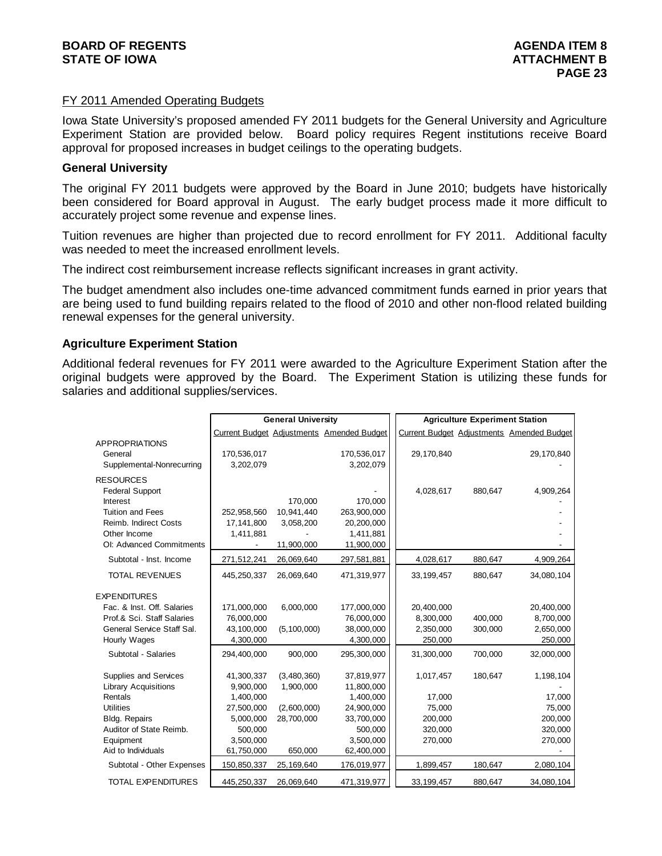#### FY 2011 Amended Operating Budgets

Iowa State University's proposed amended FY 2011 budgets for the General University and Agriculture Experiment Station are provided below. Board policy requires Regent institutions receive Board approval for proposed increases in budget ceilings to the operating budgets.

#### **General University**

The original FY 2011 budgets were approved by the Board in June 2010; budgets have historically been considered for Board approval in August. The early budget process made it more difficult to accurately project some revenue and expense lines.

Tuition revenues are higher than projected due to record enrollment for FY 2011. Additional faculty was needed to meet the increased enrollment levels.

The indirect cost reimbursement increase reflects significant increases in grant activity.

The budget amendment also includes one-time advanced commitment funds earned in prior years that are being used to fund building repairs related to the flood of 2010 and other non-flood related building renewal expenses for the general university.

#### **Agriculture Experiment Station**

Additional federal revenues for FY 2011 were awarded to the Agriculture Experiment Station after the original budgets were approved by the Board. The Experiment Station is utilizing these funds for salaries and additional supplies/services.

|                             |             | <b>General University</b> |                                           | <b>Agriculture Experiment Station</b> |         |                                           |  |
|-----------------------------|-------------|---------------------------|-------------------------------------------|---------------------------------------|---------|-------------------------------------------|--|
|                             |             |                           | Current Budget Adjustments Amended Budget |                                       |         | Current Budget Adjustments Amended Budget |  |
| <b>APPROPRIATIONS</b>       |             |                           |                                           |                                       |         |                                           |  |
| General                     | 170,536,017 |                           | 170,536,017                               | 29,170,840                            |         | 29,170,840                                |  |
| Supplemental-Nonrecurring   | 3,202,079   |                           | 3,202,079                                 |                                       |         |                                           |  |
| <b>RESOURCES</b>            |             |                           |                                           |                                       |         |                                           |  |
| <b>Federal Support</b>      |             |                           |                                           | 4,028,617                             | 880,647 | 4,909,264                                 |  |
| Interest                    |             | 170,000                   | 170,000                                   |                                       |         |                                           |  |
| <b>Tuition and Fees</b>     | 252,958,560 | 10.941.440                | 263,900,000                               |                                       |         |                                           |  |
| Reimb. Indirect Costs       | 17,141,800  | 3,058,200                 | 20,200,000                                |                                       |         |                                           |  |
| Other Income                | 1,411,881   |                           | 1,411,881                                 |                                       |         |                                           |  |
| OI: Advanced Commitments    |             | 11,900,000                | 11,900,000                                |                                       |         |                                           |  |
| Subtotal - Inst. Income     | 271,512,241 | 26,069,640                | 297,581,881                               | 4,028,617                             | 880,647 | 4,909,264                                 |  |
| <b>TOTAL REVENUES</b>       | 445,250,337 | 26,069,640                | 471,319,977                               | 33, 199, 457                          | 880,647 | 34,080,104                                |  |
| <b>EXPENDITURES</b>         |             |                           |                                           |                                       |         |                                           |  |
| Fac. & Inst. Off. Salaries  | 171,000,000 | 6,000,000                 | 177,000,000                               | 20,400,000                            |         | 20,400,000                                |  |
| Prof.& Sci. Staff Salaries  | 76,000,000  |                           | 76,000,000                                | 8,300,000                             | 400,000 | 8,700,000                                 |  |
| General Service Staff Sal.  | 43,100,000  | (5, 100, 000)             | 38,000,000                                | 2,350,000                             | 300,000 | 2,650,000                                 |  |
| Hourly Wages                | 4,300,000   |                           | 4,300,000                                 | 250,000                               |         | 250,000                                   |  |
| Subtotal - Salaries         | 294.400.000 | 900.000                   | 295,300,000                               | 31,300,000                            | 700.000 | 32.000.000                                |  |
| Supplies and Services       | 41,300,337  | (3,480,360)               | 37,819,977                                | 1,017,457                             | 180,647 | 1,198,104                                 |  |
| <b>Library Acquisitions</b> | 9,900,000   | 1,900,000                 | 11,800,000                                |                                       |         |                                           |  |
| Rentals                     | 1,400,000   |                           | 1,400,000                                 | 17,000                                |         | 17,000                                    |  |
| <b>Utilities</b>            | 27,500,000  | (2,600,000)               | 24,900,000                                | 75,000                                |         | 75,000                                    |  |
| <b>Bldg. Repairs</b>        | 5,000,000   | 28,700,000                | 33,700,000                                | 200,000                               |         | 200,000                                   |  |
| Auditor of State Reimb.     | 500,000     |                           | 500,000                                   | 320,000                               |         | 320,000                                   |  |
| Equipment                   | 3,500,000   |                           | 3,500,000                                 | 270,000                               |         | 270,000                                   |  |
| Aid to Individuals          | 61,750,000  | 650,000                   | 62,400,000                                |                                       |         |                                           |  |
| Subtotal - Other Expenses   | 150,850,337 | 25,169,640                | 176,019,977                               | 1,899,457                             | 180,647 | 2,080,104                                 |  |
| <b>TOTAL EXPENDITURES</b>   | 445,250,337 | 26,069,640                | 471,319,977                               | 33, 199, 457                          | 880,647 | 34,080,104                                |  |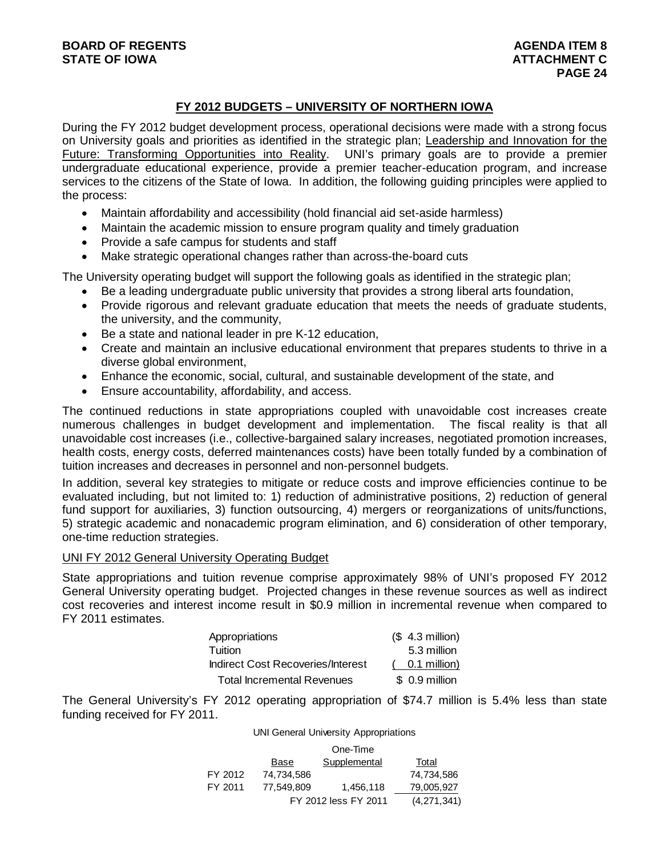#### **FY 2012 BUDGETS – UNIVERSITY OF NORTHERN IOWA**

During the FY 2012 budget development process, operational decisions were made with a strong focus on University goals and priorities as identified in the strategic plan; Leadership and Innovation for the Future: Transforming Opportunities into Reality. UNI's primary goals are to provide a premier undergraduate educational experience, provide a premier teacher-education program, and increase services to the citizens of the State of Iowa. In addition, the following guiding principles were applied to the process:

- Maintain affordability and accessibility (hold financial aid set-aside harmless)
- Maintain the academic mission to ensure program quality and timely graduation
- Provide a safe campus for students and staff
- Make strategic operational changes rather than across-the-board cuts

The University operating budget will support the following goals as identified in the strategic plan;

- Be a leading undergraduate public university that provides a strong liberal arts foundation,
- Provide rigorous and relevant graduate education that meets the needs of graduate students, the university, and the community,
- Be a state and national leader in pre K-12 education,
- Create and maintain an inclusive educational environment that prepares students to thrive in a diverse global environment,
- Enhance the economic, social, cultural, and sustainable development of the state, and
- Ensure accountability, affordability, and access.

The continued reductions in state appropriations coupled with unavoidable cost increases create numerous challenges in budget development and implementation. The fiscal reality is that all unavoidable cost increases (i.e., collective-bargained salary increases, negotiated promotion increases, health costs, energy costs, deferred maintenances costs) have been totally funded by a combination of tuition increases and decreases in personnel and non-personnel budgets.

In addition, several key strategies to mitigate or reduce costs and improve efficiencies continue to be evaluated including, but not limited to: 1) reduction of administrative positions, 2) reduction of general fund support for auxiliaries, 3) function outsourcing, 4) mergers or reorganizations of units/functions, 5) strategic academic and nonacademic program elimination, and 6) consideration of other temporary, one-time reduction strategies.

#### UNI FY 2012 General University Operating Budget

State appropriations and tuition revenue comprise approximately 98% of UNI's proposed FY 2012 General University operating budget. Projected changes in these revenue sources as well as indirect cost recoveries and interest income result in \$0.9 million in incremental revenue when compared to FY 2011 estimates.

| Appropriations                    | $($4.3$ million) |
|-----------------------------------|------------------|
| Tuition                           | 5.3 million      |
| Indirect Cost Recoveries/Interest | 0.1 million)     |
| <b>Total Incremental Revenues</b> | \$ 0.9 million   |

The General University's FY 2012 operating appropriation of \$74.7 million is 5.4% less than state funding received for FY 2011.

#### UNI General University Appropriations

|         |            | One-Time             |             |
|---------|------------|----------------------|-------------|
|         | Base       | Supplemental         | Total       |
| FY 2012 | 74.734.586 |                      | 74.734.586  |
| FY 2011 | 77.549.809 | 1,456,118            | 79.005.927  |
|         |            | FY 2012 less FY 2011 | (4,271,341) |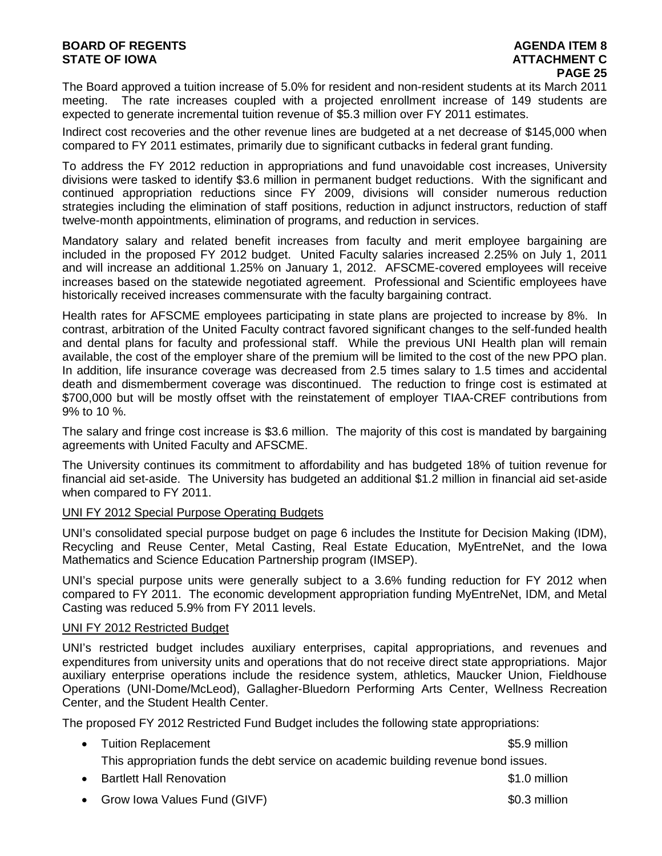#### **BOARD OF REGENTS**<br> **BOARD OF REGENTS**<br> **BOARD OF IOWA**<br> **ATTACHMENT C STATE OF IOWA**

The Board approved a tuition increase of 5.0% for resident and non-resident students at its March 2011 meeting. The rate increases coupled with a projected enrollment increase of 149 students are expected to generate incremental tuition revenue of \$5.3 million over FY 2011 estimates.

Indirect cost recoveries and the other revenue lines are budgeted at a net decrease of \$145,000 when compared to FY 2011 estimates, primarily due to significant cutbacks in federal grant funding.

To address the FY 2012 reduction in appropriations and fund unavoidable cost increases, University divisions were tasked to identify \$3.6 million in permanent budget reductions. With the significant and continued appropriation reductions since FY 2009, divisions will consider numerous reduction strategies including the elimination of staff positions, reduction in adjunct instructors, reduction of staff twelve-month appointments, elimination of programs, and reduction in services.

Mandatory salary and related benefit increases from faculty and merit employee bargaining are included in the proposed FY 2012 budget. United Faculty salaries increased 2.25% on July 1, 2011 and will increase an additional 1.25% on January 1, 2012. AFSCME-covered employees will receive increases based on the statewide negotiated agreement. Professional and Scientific employees have historically received increases commensurate with the faculty bargaining contract.

Health rates for AFSCME employees participating in state plans are projected to increase by 8%. In contrast, arbitration of the United Faculty contract favored significant changes to the self-funded health and dental plans for faculty and professional staff. While the previous UNI Health plan will remain available, the cost of the employer share of the premium will be limited to the cost of the new PPO plan. In addition, life insurance coverage was decreased from 2.5 times salary to 1.5 times and accidental death and dismemberment coverage was discontinued. The reduction to fringe cost is estimated at \$700,000 but will be mostly offset with the reinstatement of employer TIAA-CREF contributions from 9% to 10 %.

The salary and fringe cost increase is \$3.6 million. The majority of this cost is mandated by bargaining agreements with United Faculty and AFSCME.

The University continues its commitment to affordability and has budgeted 18% of tuition revenue for financial aid set-aside. The University has budgeted an additional \$1.2 million in financial aid set-aside when compared to FY 2011.

#### UNI FY 2012 Special Purpose Operating Budgets

UNI's consolidated special purpose budget on page 6 includes the Institute for Decision Making (IDM), Recycling and Reuse Center, Metal Casting, Real Estate Education, MyEntreNet, and the Iowa Mathematics and Science Education Partnership program (IMSEP).

UNI's special purpose units were generally subject to a 3.6% funding reduction for FY 2012 when compared to FY 2011. The economic development appropriation funding MyEntreNet, IDM, and Metal Casting was reduced 5.9% from FY 2011 levels.

#### UNI FY 2012 Restricted Budget

UNI's restricted budget includes auxiliary enterprises, capital appropriations, and revenues and expenditures from university units and operations that do not receive direct state appropriations. Major auxiliary enterprise operations include the residence system, athletics, Maucker Union, Fieldhouse Operations (UNI-Dome/McLeod), Gallagher-Bluedorn Performing Arts Center, Wellness Recreation Center, and the Student Health Center.

The proposed FY 2012 Restricted Fund Budget includes the following state appropriations:

• Tuition Replacement **\$5.9 million** 

This appropriation funds the debt service on academic building revenue bond issues.

• Bartlett Hall Renovation **by the set of the set of the set of the set of the set of the set of the set of the set of the set of the set of the set of the set of the set of the set of the set of the set of the set of the** 

• Grow Iowa Values Fund (GIVF)  $\sim$  80.3 million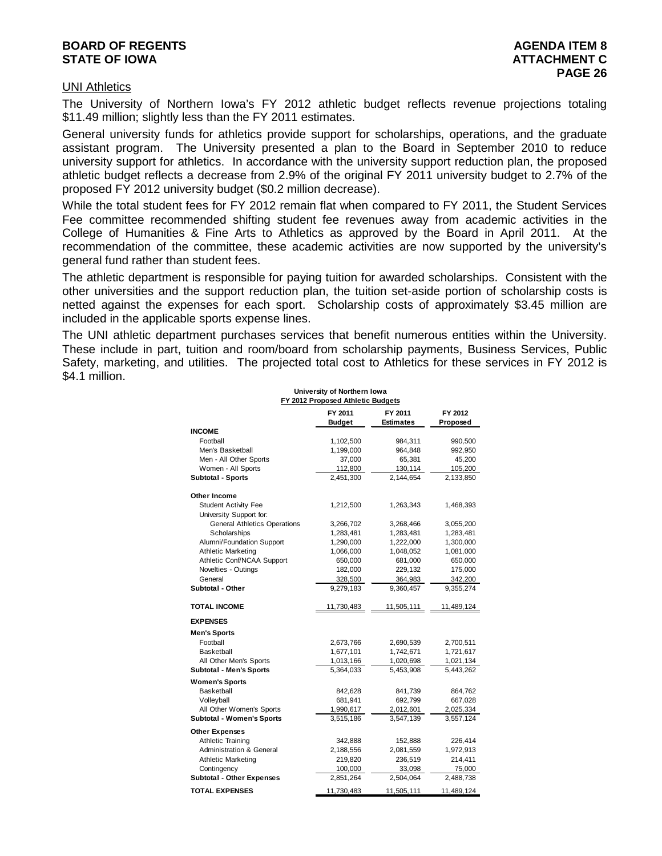#### **BOARD OF REGENTS**<br> **BOARD OF REGENTS**<br> **BOARD OF IOWA**<br> **ATTACHMENT C STATE OF IOWA**

#### UNI Athletics

The University of Northern Iowa's FY 2012 athletic budget reflects revenue projections totaling \$11.49 million; slightly less than the FY 2011 estimates.

General university funds for athletics provide support for scholarships, operations, and the graduate assistant program. The University presented a plan to the Board in September 2010 to reduce university support for athletics. In accordance with the university support reduction plan, the proposed athletic budget reflects a decrease from 2.9% of the original FY 2011 university budget to 2.7% of the proposed FY 2012 university budget (\$0.2 million decrease).

While the total student fees for FY 2012 remain flat when compared to FY 2011, the Student Services Fee committee recommended shifting student fee revenues away from academic activities in the College of Humanities & Fine Arts to Athletics as approved by the Board in April 2011. At the recommendation of the committee, these academic activities are now supported by the university's general fund rather than student fees.

The athletic department is responsible for paying tuition for awarded scholarships. Consistent with the other universities and the support reduction plan, the tuition set-aside portion of scholarship costs is netted against the expenses for each sport. Scholarship costs of approximately \$3.45 million are included in the applicable sports expense lines.

The UNI athletic department purchases services that benefit numerous entities within the University. These include in part, tuition and room/board from scholarship payments, Business Services, Public Safety, marketing, and utilities. The projected total cost to Athletics for these services in FY 2012 is \$4.1 million. **University of Northern Iowa**

| <b>University of Northern lowa</b><br>FY 2012 Proposed Athletic Budgets |                     |            |            |  |  |
|-------------------------------------------------------------------------|---------------------|------------|------------|--|--|
|                                                                         | FY 2012<br>Proposed |            |            |  |  |
| <b>INCOME</b>                                                           |                     |            |            |  |  |
| Football                                                                | 1,102,500           | 984,311    | 990,500    |  |  |
| Men's Basketball                                                        | 1,199,000           | 964,848    | 992,950    |  |  |
| Men - All Other Sports                                                  | 37,000              | 65,381     | 45,200     |  |  |
| Women - All Sports                                                      | 112,800             | 130,114    | 105,200    |  |  |
| <b>Subtotal - Sports</b>                                                | 2,451,300           | 2,144,654  | 2,133,850  |  |  |
| Other Income                                                            |                     |            |            |  |  |
| <b>Student Activity Fee</b>                                             | 1,212,500           | 1,263,343  | 1,468,393  |  |  |
| University Support for:                                                 |                     |            |            |  |  |
| <b>General Athletics Operations</b>                                     | 3,266,702           | 3,268,466  | 3,055,200  |  |  |
| Scholarships                                                            | 1,283,481           | 1,283,481  | 1,283,481  |  |  |
| Alumni/Foundation Support                                               | 1,290,000           | 1,222,000  | 1,300,000  |  |  |
| <b>Athletic Marketing</b>                                               | 1,066,000           | 1,048,052  | 1,081,000  |  |  |
| Athletic Conf/NCAA Support                                              | 650,000             | 681,000    | 650,000    |  |  |
| Novelties - Outings                                                     | 182,000             | 229,132    | 175,000    |  |  |
| General                                                                 | 328,500             | 364,983    | 342,200    |  |  |
| Subtotal - Other                                                        | 9,279,183           | 9,360,457  | 9,355,274  |  |  |
|                                                                         |                     |            |            |  |  |
| <b>TOTAL INCOME</b>                                                     | 11,730,483          | 11,505,111 | 11,489,124 |  |  |
| <b>EXPENSES</b>                                                         |                     |            |            |  |  |
| <b>Men's Sports</b>                                                     |                     |            |            |  |  |
| Football                                                                | 2,673,766           | 2,690,539  | 2,700,511  |  |  |
| Basketball                                                              | 1,677,101           | 1,742,671  | 1,721,617  |  |  |
| All Other Men's Sports                                                  | 1,013,166           | 1,020,698  | 1,021,134  |  |  |
| <b>Subtotal - Men's Sports</b>                                          | 5,364,033           | 5,453,908  | 5,443,262  |  |  |
| <b>Women's Sports</b>                                                   |                     |            |            |  |  |
| Basketball                                                              | 842,628             | 841,739    | 864,762    |  |  |
| Volleyball                                                              | 681,941             | 692,799    | 667,028    |  |  |
| All Other Women's Sports                                                | 1,990,617           | 2,012,601  | 2,025,334  |  |  |
| <b>Subtotal - Women's Sports</b>                                        | 3,515,186           | 3,547,139  | 3,557,124  |  |  |
| <b>Other Expenses</b>                                                   |                     |            |            |  |  |
| Athletic Training                                                       | 342,888             | 152,888    | 226,414    |  |  |
| <b>Administration &amp; General</b>                                     | 2,188,556           | 2,081,559  | 1,972,913  |  |  |
| <b>Athletic Marketing</b>                                               | 219,820             | 236,519    | 214,411    |  |  |
| Contingency                                                             | 100,000             | 33,098     | 75,000     |  |  |
| <b>Subtotal - Other Expenses</b>                                        | 2,851,264           | 2,504,064  | 2,488,738  |  |  |
| <b>TOTAL EXPENSES</b>                                                   | 11,730,483          | 11,505,111 | 11,489,124 |  |  |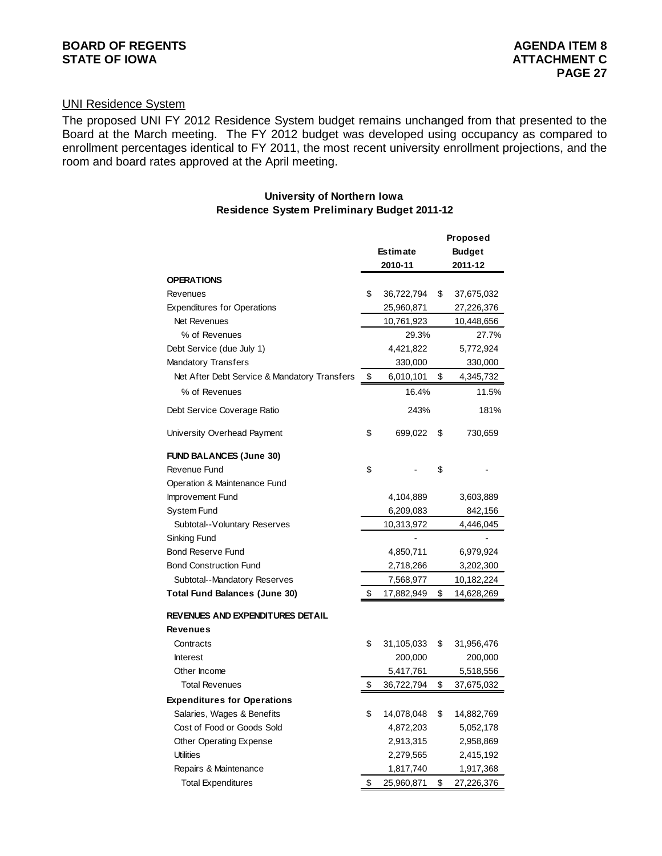### UNI Residence System

The proposed UNI FY 2012 Residence System budget remains unchanged from that presented to the Board at the March meeting. The FY 2012 budget was developed using occupancy as compared to enrollment percentages identical to FY 2011, the most recent university enrollment projections, and the room and board rates approved at the April meeting.

#### **University of Northern Iowa Residence System Preliminary Budget 2011-12**

|                                              |                 |            |    | Proposed      |
|----------------------------------------------|-----------------|------------|----|---------------|
|                                              | <b>Estimate</b> |            |    | <b>Budget</b> |
|                                              |                 | 2010-11    |    | 2011-12       |
| <b>OPERATIONS</b>                            |                 |            |    |               |
| Revenues                                     | \$              | 36,722,794 | \$ | 37,675,032    |
| <b>Expenditures for Operations</b>           |                 | 25,960,871 |    | 27,226,376    |
| <b>Net Revenues</b>                          |                 | 10,761,923 |    | 10,448,656    |
| % of Revenues                                |                 | 29.3%      |    | 27.7%         |
| Debt Service (due July 1)                    |                 | 4,421,822  |    | 5,772,924     |
| <b>Mandatory Transfers</b>                   |                 | 330,000    |    | 330,000       |
| Net After Debt Service & Mandatory Transfers | \$              | 6,010,101  | \$ | 4,345,732     |
| % of Revenues                                |                 | 16.4%      |    | 11.5%         |
| Debt Service Coverage Ratio                  |                 | 243%       |    | 181%          |
| University Overhead Payment                  | \$              | 699,022    | \$ | 730,659       |
| <b>FUND BALANCES (June 30)</b>               |                 |            |    |               |
| Revenue Fund                                 | \$              |            | \$ |               |
| Operation & Maintenance Fund                 |                 |            |    |               |
| Improvement Fund                             |                 | 4,104,889  |    | 3,603,889     |
| System Fund                                  |                 | 6,209,083  |    | 842,156       |
| Subtotal--Voluntary Reserves                 |                 | 10,313,972 |    | 4,446,045     |
| Sinking Fund                                 |                 |            |    |               |
| <b>Bond Reserve Fund</b>                     |                 | 4,850,711  |    | 6,979,924     |
| <b>Bond Construction Fund</b>                | 2,718,266       |            |    | 3,202,300     |
| Subtotal--Mandatory Reserves                 |                 | 7,568,977  |    | 10,182,224    |
| <b>Total Fund Balances (June 30)</b>         | \$              | 17,882,949 | \$ | 14,628,269    |
| REVENUES AND EXPENDITURES DETAIL             |                 |            |    |               |
| <b>Revenues</b>                              |                 |            |    |               |
| Contracts                                    | \$              | 31,105,033 | \$ | 31,956,476    |
| <b>Interest</b>                              |                 | 200,000    |    | 200,000       |
| Other Income                                 |                 | 5,417,761  |    | 5,518,556     |
| <b>Total Revenues</b>                        | \$              | 36,722,794 | \$ | 37,675,032    |
| <b>Expenditures for Operations</b>           |                 |            |    |               |
| Salaries, Wages & Benefits                   | \$              | 14,078,048 | \$ | 14,882,769    |
| Cost of Food or Goods Sold                   |                 | 4,872,203  |    | 5,052,178     |
| <b>Other Operating Expense</b>               |                 | 2,913,315  |    | 2,958,869     |
| <b>Utilities</b>                             |                 | 2,279,565  |    | 2,415,192     |
| Repairs & Maintenance                        |                 | 1,817,740  |    | 1,917,368     |
| <b>Total Expenditures</b>                    | \$              | 25,960,871 | \$ | 27,226,376    |
|                                              |                 |            |    |               |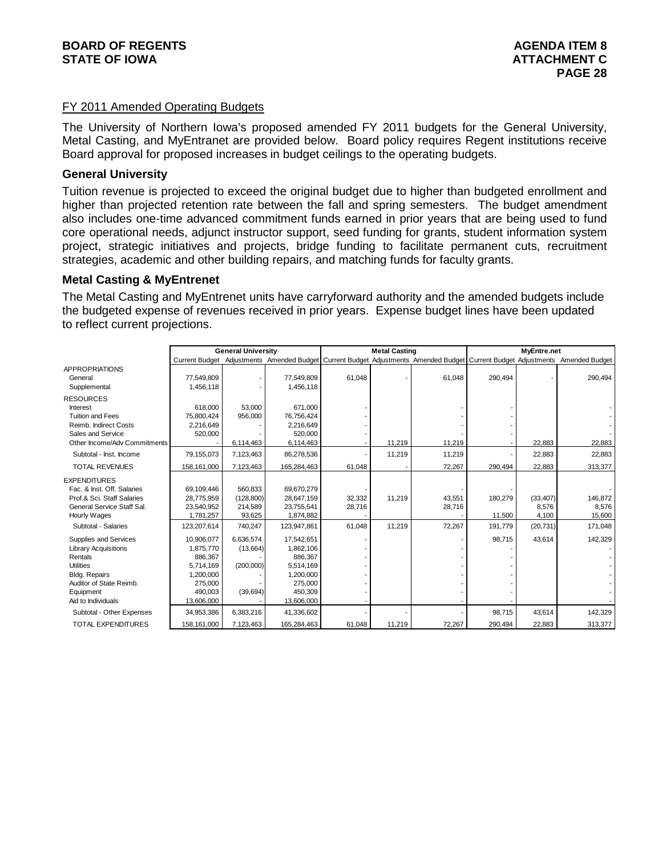#### FY 2011 Amended Operating Budgets

The University of Northern Iowa's proposed amended FY 2011 budgets for the General University, Metal Casting, and MyEntranet are provided below. Board policy requires Regent institutions receive Board approval for proposed increases in budget ceilings to the operating budgets.

#### **General University**

Tuition revenue is projected to exceed the original budget due to higher than budgeted enrollment and higher than projected retention rate between the fall and spring semesters. The budget amendment also includes one-time advanced commitment funds earned in prior years that are being used to fund core operational needs, adjunct instructor support, seed funding for grants, student information system project, strategic initiatives and projects, bridge funding to facilitate permanent cuts, recruitment strategies, academic and other building repairs, and matching funds for faculty grants.

#### **Metal Casting & MyEntrenet**

The Metal Casting and MyEntrenet units have carryforward authority and the amended budgets include the budgeted expense of revenues received in prior years. Expense budget lines have been updated to reflect current projections.

|                              |             | <b>General University</b> |             | <b>Metal Casting</b> |        | MyEntre.net |         |           |                                                                                                                               |
|------------------------------|-------------|---------------------------|-------------|----------------------|--------|-------------|---------|-----------|-------------------------------------------------------------------------------------------------------------------------------|
|                              |             |                           |             |                      |        |             |         |           | Current Budget Adjustments Amended Budget Current Budget Adjustments Amended Budget Current Budget Adjustments Amended Budget |
| <b>APPROPRIATIONS</b>        |             |                           |             |                      |        |             |         |           |                                                                                                                               |
| General                      | 77,549,809  |                           | 77,549,809  | 61,048               |        | 61,048      | 290,494 |           | 290,494                                                                                                                       |
| Supplemental                 | 1,456,118   |                           | 1,456,118   |                      |        |             |         |           |                                                                                                                               |
| <b>RESOURCES</b>             |             |                           |             |                      |        |             |         |           |                                                                                                                               |
| Interest                     | 618.000     | 53.000                    | 671.000     |                      |        |             |         |           |                                                                                                                               |
| <b>Tuition and Fees</b>      | 75,800,424  | 956,000                   | 76,756,424  |                      |        |             |         |           |                                                                                                                               |
| Reimb. Indirect Costs        | 2,216,649   |                           | 2,216,649   |                      |        |             |         |           |                                                                                                                               |
| Sales and Service            | 520,000     |                           | 520,000     |                      |        |             |         |           |                                                                                                                               |
| Other Income/Adv Commitments |             | 6,114,463                 | 6,114,463   |                      | 11,219 | 11,219      |         | 22,883    | 22,883                                                                                                                        |
| Subtotal - Inst. Income      | 79,155,073  | 7,123,463                 | 86,278,536  |                      | 11.219 | 11,219      |         | 22,883    | 22,883                                                                                                                        |
| <b>TOTAL REVENUES</b>        | 158,161,000 | 7,123,463                 | 165,284,463 | 61,048               |        | 72,267      | 290,494 | 22,883    | 313,377                                                                                                                       |
| <b>EXPENDITURES</b>          |             |                           |             |                      |        |             |         |           |                                                                                                                               |
| Fac. & Inst. Off. Salaries   | 69,109,446  | 560.833                   | 69,670,279  |                      |        |             |         |           |                                                                                                                               |
| Prof.& Sci. Staff Salaries   | 28,775,959  | (128, 800)                | 28,647,159  | 32,332               | 11,219 | 43,551      | 180,279 | (33, 407) | 146,872                                                                                                                       |
| General Service Staff Sal.   | 23.540.952  | 214,589                   | 23.755.541  | 28,716               |        | 28,716      |         | 8,576     | 8.576                                                                                                                         |
| Hourly Wages                 | 1,781,257   | 93,625                    | 1,874,882   |                      |        |             | 11,500  | 4,100     | 15,600                                                                                                                        |
| Subtotal - Salaries          | 123,207,614 | 740,247                   | 123,947,861 | 61,048               | 11,219 | 72,267      | 191,779 | (20, 731) | 171,048                                                                                                                       |
| Supplies and Services        | 10,906,077  | 6,636,574                 | 17,542,651  |                      |        |             | 98,715  | 43,614    | 142,329                                                                                                                       |
| <b>Library Acquisitions</b>  | 1,875,770   | (13,664)                  | 1,862,106   |                      |        |             |         |           |                                                                                                                               |
| Rentals                      | 886,367     |                           | 886,367     |                      |        |             |         |           |                                                                                                                               |
| <b>Utilities</b>             | 5.714.169   | (200,000)                 | 5,514,169   |                      |        |             |         |           |                                                                                                                               |
| <b>Bldg. Repairs</b>         | 1,200,000   |                           | 1,200,000   |                      |        |             |         |           |                                                                                                                               |
| Auditor of State Reimb.      | 275,000     |                           | 275,000     |                      |        |             |         |           |                                                                                                                               |
| Equipment                    | 490,003     | (39,694)                  | 450,309     |                      |        |             |         |           |                                                                                                                               |
| Aid to Individuals           | 13,606,000  |                           | 13,606,000  |                      |        |             |         |           |                                                                                                                               |
| Subtotal - Other Expenses    | 34,953,386  | 6,383,216                 | 41,336,602  |                      |        |             | 98,715  | 43,614    | 142,329                                                                                                                       |
| <b>TOTAL EXPENDITURES</b>    | 158,161,000 | 7,123,463                 | 165,284,463 | 61,048               | 11,219 | 72,267      | 290,494 | 22,883    | 313,377                                                                                                                       |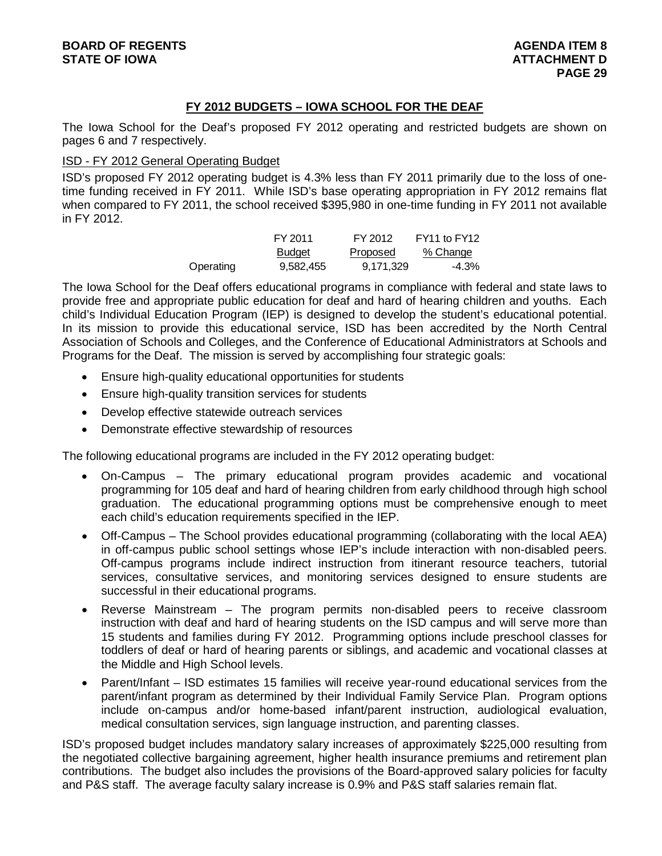### **FY 2012 BUDGETS – IOWA SCHOOL FOR THE DEAF**

The Iowa School for the Deaf's proposed FY 2012 operating and restricted budgets are shown on pages 6 and 7 respectively.

#### ISD - FY 2012 General Operating Budget

ISD's proposed FY 2012 operating budget is 4.3% less than FY 2011 primarily due to the loss of onetime funding received in FY 2011. While ISD's base operating appropriation in FY 2012 remains flat when compared to FY 2011, the school received \$395,980 in one-time funding in FY 2011 not available in FY 2012.

|           | FY 2011       | FY 2012   | FY11 to FY12 |
|-----------|---------------|-----------|--------------|
|           | <b>Budget</b> | Proposed  | % Change     |
| Operating | 9,582,455     | 9.171.329 | $-4.3\%$     |

The Iowa School for the Deaf offers educational programs in compliance with federal and state laws to provide free and appropriate public education for deaf and hard of hearing children and youths. Each child's Individual Education Program (IEP) is designed to develop the student's educational potential. In its mission to provide this educational service, ISD has been accredited by the North Central Association of Schools and Colleges, and the Conference of Educational Administrators at Schools and Programs for the Deaf. The mission is served by accomplishing four strategic goals:

- Ensure high-quality educational opportunities for students
- Ensure high-quality transition services for students
- Develop effective statewide outreach services
- Demonstrate effective stewardship of resources

The following educational programs are included in the FY 2012 operating budget:

- On-Campus The primary educational program provides academic and vocational programming for 105 deaf and hard of hearing children from early childhood through high school graduation. The educational programming options must be comprehensive enough to meet each child's education requirements specified in the IEP.
- Off-Campus The School provides educational programming (collaborating with the local AEA) in off-campus public school settings whose IEP's include interaction with non-disabled peers. Off-campus programs include indirect instruction from itinerant resource teachers, tutorial services, consultative services, and monitoring services designed to ensure students are successful in their educational programs.
- Reverse Mainstream The program permits non-disabled peers to receive classroom instruction with deaf and hard of hearing students on the ISD campus and will serve more than 15 students and families during FY 2012. Programming options include preschool classes for toddlers of deaf or hard of hearing parents or siblings, and academic and vocational classes at the Middle and High School levels.
- Parent/Infant ISD estimates 15 families will receive year-round educational services from the parent/infant program as determined by their Individual Family Service Plan. Program options include on-campus and/or home-based infant/parent instruction, audiological evaluation, medical consultation services, sign language instruction, and parenting classes.

ISD's proposed budget includes mandatory salary increases of approximately \$225,000 resulting from the negotiated collective bargaining agreement, higher health insurance premiums and retirement plan contributions. The budget also includes the provisions of the Board-approved salary policies for faculty and P&S staff. The average faculty salary increase is 0.9% and P&S staff salaries remain flat.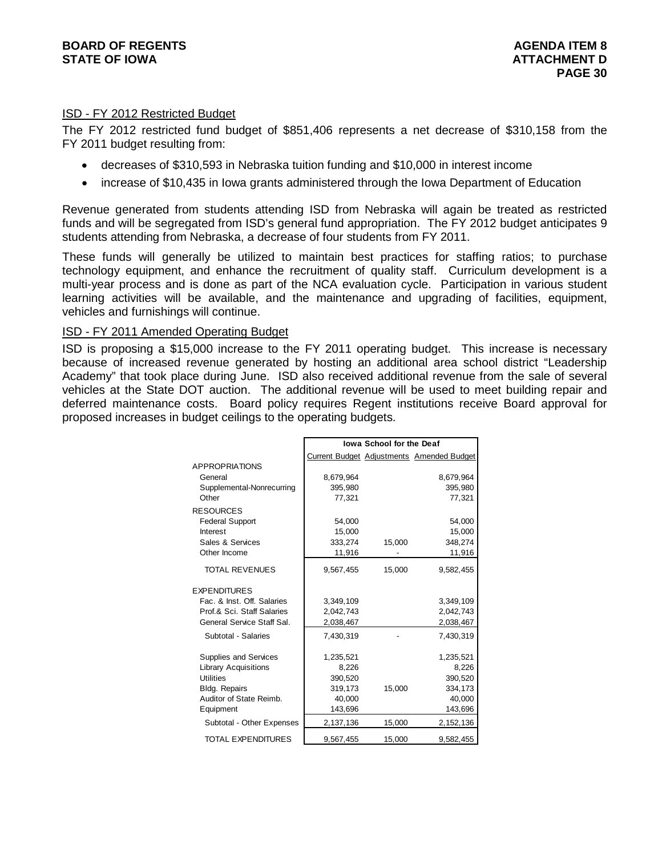#### ISD - FY 2012 Restricted Budget

The FY 2012 restricted fund budget of \$851,406 represents a net decrease of \$310,158 from the FY 2011 budget resulting from:

- decreases of \$310,593 in Nebraska tuition funding and \$10,000 in interest income
- increase of \$10,435 in Iowa grants administered through the Iowa Department of Education

Revenue generated from students attending ISD from Nebraska will again be treated as restricted funds and will be segregated from ISD's general fund appropriation. The FY 2012 budget anticipates 9 students attending from Nebraska, a decrease of four students from FY 2011.

These funds will generally be utilized to maintain best practices for staffing ratios; to purchase technology equipment, and enhance the recruitment of quality staff. Curriculum development is a multi-year process and is done as part of the NCA evaluation cycle. Participation in various student learning activities will be available, and the maintenance and upgrading of facilities, equipment, vehicles and furnishings will continue.

#### ISD - FY 2011 Amended Operating Budget

ISD is proposing a \$15,000 increase to the FY 2011 operating budget. This increase is necessary because of increased revenue generated by hosting an additional area school district "Leadership Academy" that took place during June. ISD also received additional revenue from the sale of several vehicles at the State DOT auction. The additional revenue will be used to meet building repair and deferred maintenance costs. Board policy requires Regent institutions receive Board approval for proposed increases in budget ceilings to the operating budgets.

|                             | <b>Iowa School for the Deaf</b> |        |                                                  |  |  |
|-----------------------------|---------------------------------|--------|--------------------------------------------------|--|--|
|                             |                                 |        | <b>Current Budget Adjustments Amended Budget</b> |  |  |
| <b>APPROPRIATIONS</b>       |                                 |        |                                                  |  |  |
| General                     | 8,679,964                       |        | 8,679,964                                        |  |  |
| Supplemental-Nonrecurring   | 395,980                         |        | 395,980                                          |  |  |
| Other                       | 77,321                          |        | 77,321                                           |  |  |
| <b>RESOURCES</b>            |                                 |        |                                                  |  |  |
| <b>Federal Support</b>      | 54,000                          |        | 54,000                                           |  |  |
| Interest                    | 15,000                          |        | 15,000                                           |  |  |
| Sales & Services            | 333,274                         | 15,000 | 348,274                                          |  |  |
| Other Income                | 11,916                          |        | 11,916                                           |  |  |
| <b>TOTAL REVENUES</b>       | 9,567,455                       | 15,000 | 9,582,455                                        |  |  |
| <b>EXPENDITURES</b>         |                                 |        |                                                  |  |  |
| Fac. & Inst. Off. Salaries  | 3,349,109                       |        | 3,349,109                                        |  |  |
| Prof.& Sci. Staff Salaries  | 2,042,743                       |        | 2,042,743                                        |  |  |
| General Service Staff Sal.  | 2,038,467                       |        | 2,038,467                                        |  |  |
| Subtotal - Salaries         | 7,430,319                       |        | 7,430,319                                        |  |  |
| Supplies and Services       | 1,235,521                       |        | 1,235,521                                        |  |  |
| <b>Library Acquisitions</b> | 8,226                           |        | 8,226                                            |  |  |
| <b>Utilities</b>            | 390,520                         |        | 390,520                                          |  |  |
| <b>Bldg. Repairs</b>        | 319,173                         | 15,000 | 334,173                                          |  |  |
| Auditor of State Reimb.     | 40,000                          |        | 40,000                                           |  |  |
| Equipment                   | 143,696                         |        | 143,696                                          |  |  |
| Subtotal - Other Expenses   | 2,137,136                       | 15,000 | 2, 152, 136                                      |  |  |
| TOTAL EXPENDITURES          | 9,567,455                       | 15,000 | 9,582,455                                        |  |  |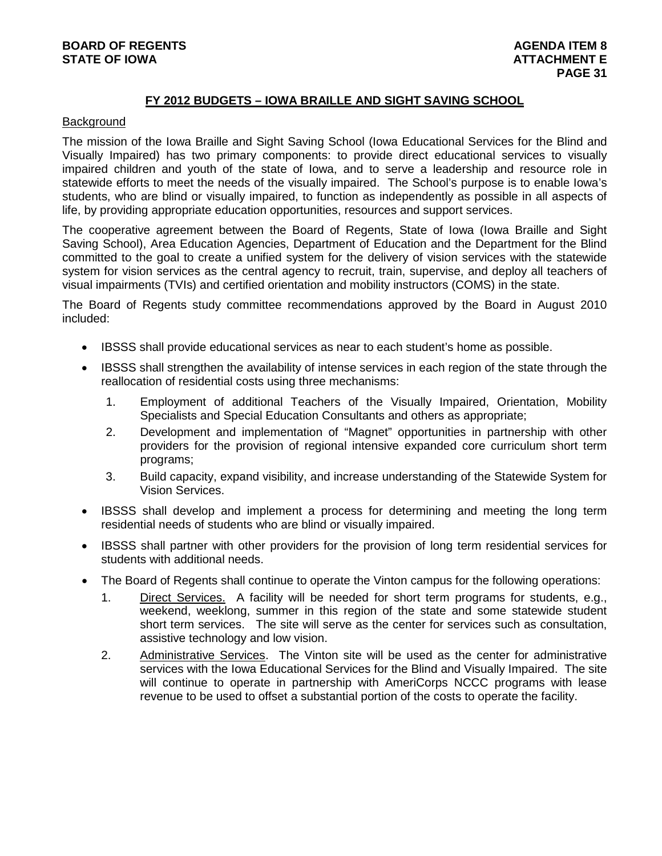#### **FY 2012 BUDGETS – IOWA BRAILLE AND SIGHT SAVING SCHOOL**

#### **Background**

The mission of the Iowa Braille and Sight Saving School (Iowa Educational Services for the Blind and Visually Impaired) has two primary components: to provide direct educational services to visually impaired children and youth of the state of Iowa, and to serve a leadership and resource role in statewide efforts to meet the needs of the visually impaired. The School's purpose is to enable Iowa's students, who are blind or visually impaired, to function as independently as possible in all aspects of life, by providing appropriate education opportunities, resources and support services.

The cooperative agreement between the Board of Regents, State of Iowa (Iowa Braille and Sight Saving School), Area Education Agencies, Department of Education and the Department for the Blind committed to the goal to create a unified system for the delivery of vision services with the statewide system for vision services as the central agency to recruit, train, supervise, and deploy all teachers of visual impairments (TVIs) and certified orientation and mobility instructors (COMS) in the state.

The Board of Regents study committee recommendations approved by the Board in August 2010 included:

- IBSSS shall provide educational services as near to each student's home as possible.
- IBSSS shall strengthen the availability of intense services in each region of the state through the reallocation of residential costs using three mechanisms:
	- 1. Employment of additional Teachers of the Visually Impaired, Orientation, Mobility Specialists and Special Education Consultants and others as appropriate;
	- 2. Development and implementation of "Magnet" opportunities in partnership with other providers for the provision of regional intensive expanded core curriculum short term programs;
	- 3. Build capacity, expand visibility, and increase understanding of the Statewide System for Vision Services.
- IBSSS shall develop and implement a process for determining and meeting the long term residential needs of students who are blind or visually impaired.
- IBSSS shall partner with other providers for the provision of long term residential services for students with additional needs.
- The Board of Regents shall continue to operate the Vinton campus for the following operations:
	- 1. Direct Services. A facility will be needed for short term programs for students, e.g., weekend, weeklong, summer in this region of the state and some statewide student short term services. The site will serve as the center for services such as consultation, assistive technology and low vision.
	- 2. Administrative Services. The Vinton site will be used as the center for administrative services with the Iowa Educational Services for the Blind and Visually Impaired. The site will continue to operate in partnership with AmeriCorps NCCC programs with lease revenue to be used to offset a substantial portion of the costs to operate the facility.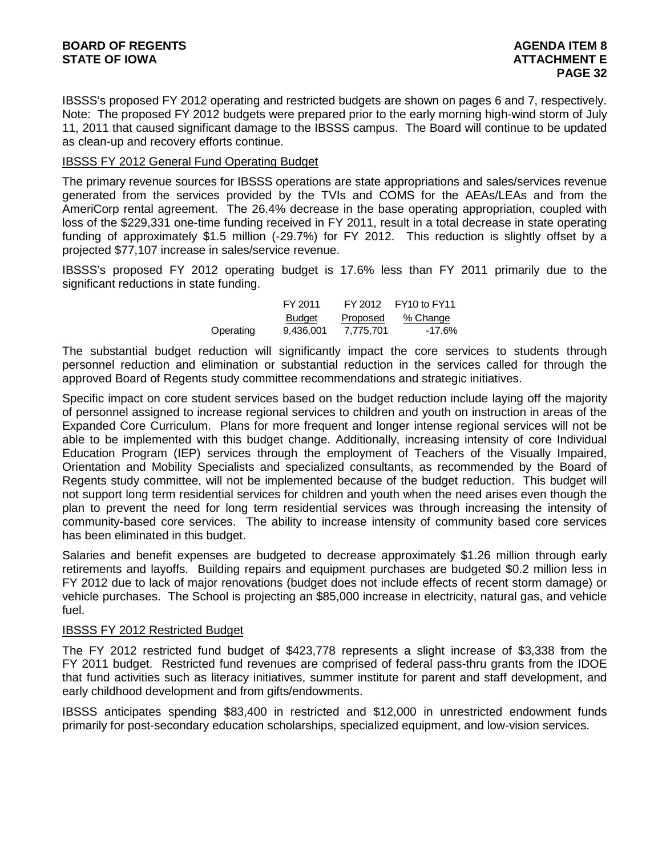IBSSS's proposed FY 2012 operating and restricted budgets are shown on pages 6 and 7, respectively. Note: The proposed FY 2012 budgets were prepared prior to the early morning high-wind storm of July 11, 2011 that caused significant damage to the IBSSS campus. The Board will continue to be updated as clean-up and recovery efforts continue.

#### IBSSS FY 2012 General Fund Operating Budget

The primary revenue sources for IBSSS operations are state appropriations and sales/services revenue generated from the services provided by the TVIs and COMS for the AEAs/LEAs and from the AmeriCorp rental agreement. The 26.4% decrease in the base operating appropriation, coupled with loss of the \$229,331 one-time funding received in FY 2011, result in a total decrease in state operating funding of approximately \$1.5 million (-29.7%) for FY 2012. This reduction is slightly offset by a projected \$77,107 increase in sales/service revenue.

IBSSS's proposed FY 2012 operating budget is 17.6% less than FY 2011 primarily due to the significant reductions in state funding.

|           | FY 2011       | FY 2012   | FY10 to FY11 |
|-----------|---------------|-----------|--------------|
|           | <b>Budget</b> | Proposed  | % Change     |
| Operating | 9.436.001     | 7.775.701 | -17.6%       |

The substantial budget reduction will significantly impact the core services to students through personnel reduction and elimination or substantial reduction in the services called for through the approved Board of Regents study committee recommendations and strategic initiatives.

Specific impact on core student services based on the budget reduction include laying off the majority of personnel assigned to increase regional services to children and youth on instruction in areas of the Expanded Core Curriculum. Plans for more frequent and longer intense regional services will not be able to be implemented with this budget change. Additionally, increasing intensity of core Individual Education Program (IEP) services through the employment of Teachers of the Visually Impaired, Orientation and Mobility Specialists and specialized consultants, as recommended by the Board of Regents study committee, will not be implemented because of the budget reduction. This budget will not support long term residential services for children and youth when the need arises even though the plan to prevent the need for long term residential services was through increasing the intensity of community-based core services. The ability to increase intensity of community based core services has been eliminated in this budget.

Salaries and benefit expenses are budgeted to decrease approximately \$1.26 million through early retirements and layoffs. Building repairs and equipment purchases are budgeted \$0.2 million less in FY 2012 due to lack of major renovations (budget does not include effects of recent storm damage) or vehicle purchases. The School is projecting an \$85,000 increase in electricity, natural gas, and vehicle fuel.

#### IBSSS FY 2012 Restricted Budget

The FY 2012 restricted fund budget of \$423,778 represents a slight increase of \$3,338 from the FY 2011 budget. Restricted fund revenues are comprised of federal pass-thru grants from the IDOE that fund activities such as literacy initiatives, summer institute for parent and staff development, and early childhood development and from gifts/endowments.

IBSSS anticipates spending \$83,400 in restricted and \$12,000 in unrestricted endowment funds primarily for post-secondary education scholarships, specialized equipment, and low-vision services.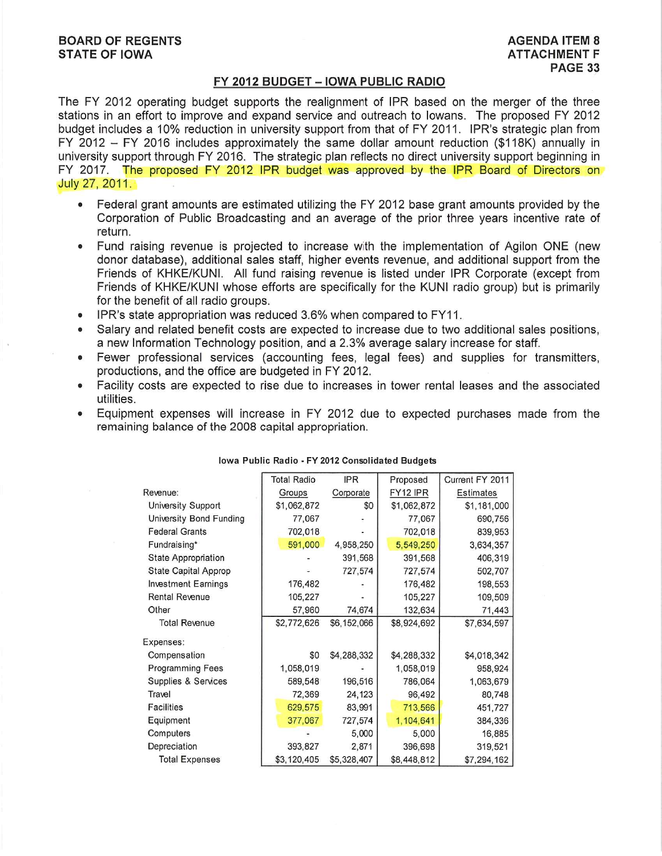#### FY 2012 BUDGET - IOWA PUBLIC RADIO

The FY 2012 operating budget supports the realignment of IPR based on the merger of the three stations in an effort to improve and expand service and outreach to lowans. The proposed FY 2012 budget includes a 10% reduction in university support from that of FY 2011. IPR's strategic plan from FY 2012  $-$  FY 2016 includes approximately the same dollar amount reduction (\$118K) annually in university support through FY 2016. The strategic plan reflects no direct university support beginning in FY 2017. The proposed FY 2012 IPR budget was approved by the IPR Board of Directors on July 27, 2011.

- Federal grant amounts are estimated utilizing the FY 2012 base grant amounts provided by the  $\bullet$ Corporation of Public Broadcasting and an average of the prior three years incentive rate of return.
- Fund raising revenue is projected to increase with the implementation of Agilon ONE (new  $\bullet$ donor database), additional sales staff, higher events revenue, and additional support from the Friends of KHKE/KUNI. All fund raising revenue is listed under IPR Corporate (except from Friends of KHKE/KUNI whose efforts are specifically for the KUNI radio group) but is primarily for the benefit of all radio groups.
- IPR's state appropriation was reduced 3.6% when compared to FY11.  $\bullet$
- Salary and related benefit costs are expected to increase due to two additional sales positions.  $\bullet$ a new Information Technology position, and a 2.3% average salary increase for staff.
- Fewer professional services (accounting fees, legal fees) and supplies for transmitters,  $\bullet$ productions, and the office are budgeted in FY 2012.
- Facility costs are expected to rise due to increases in tower rental leases and the associated utilities.
- Equipment expenses will increase in FY 2012 due to expected purchases made from the remaining balance of the 2008 capital appropriation.

|                             | Total Radio | <b>IPR</b>  | Proposed    | Current FY 2011 |
|-----------------------------|-------------|-------------|-------------|-----------------|
| Revenue:                    | Groups      | Corporate   | FY12 IPR    | Estimates       |
| <b>University Support</b>   | \$1,062,872 | \$0         | \$1,062,872 | \$1,181,000     |
| University Bond Funding     | 77,067      |             | 77,067      | 690,756         |
| <b>Federal Grants</b>       | 702,018     |             | 702,018     | 839,953         |
| Fundraising*                | 591,000     | 4,958,250   | 5,549,250   | 3,634,357       |
| <b>State Appropriation</b>  |             | 391,568     | 391,568     | 406,319         |
| <b>State Capital Approp</b> |             | 727,574     | 727,574     | 502,707         |
| <b>Investment Earnings</b>  | 176,482     |             | 176,482     | 198,553         |
| <b>Rental Revenue</b>       | 105,227     |             | 105,227     | 109,509         |
| Other                       | 57,960      | 74,674      | 132,634     | 71,443          |
| <b>Total Revenue</b>        | \$2,772,626 | \$6,152,066 | \$8,924,692 | \$7,634,597     |
| Expenses:                   |             |             |             |                 |
| Compensation                | \$0         | \$4,288,332 | \$4,288,332 | \$4,018,342     |
| <b>Programming Fees</b>     | 1,058,019   |             | 1,058,019   | 958,924         |
| Supplies & Services         | 589,548     | 196,516     | 786,064     | 1,063,679       |
| Travel                      | 72,369      | 24,123      | 96,492      | 80,748          |
| <b>Facilities</b>           | 629,575     | 83,991      | 713,566     | 451,727         |
| Equipment                   | 377,067     | 727,574     | 1,104,641   | 384,336         |
| Computers                   |             | 5,000       | 5,000       | 16,885          |
| Depreciation                | 393,827     | 2,871       | 396,698     | 319,521         |
| <b>Total Expenses</b>       | \$3,120,405 | \$5,328,407 | \$8,448,812 | \$7,294,162     |

#### Iowa Public Radio - FY 2012 Consolidated Budgets